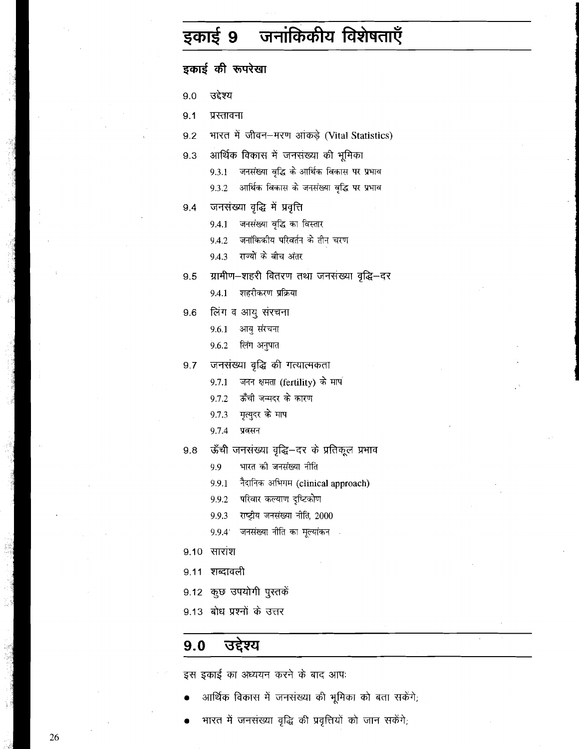# इकाई 9 जनांकिकीय विशेषताएँ

| इकाई की रूपरेखा |                                                     |  |  |  |
|-----------------|-----------------------------------------------------|--|--|--|
| 9.0             | उद्देश्य                                            |  |  |  |
| 9.1             | प्रस्तावना                                          |  |  |  |
|                 | 9.2 भारत में जीवन-मरण आंकड़े (Vital Statistics)     |  |  |  |
| 9.3             | आर्थिक विकास में जनसंख्या की भूमिका                 |  |  |  |
|                 | ्जनसंख्या वृद्धि के आर्थिक विकास पर प्रभाव<br>9.3.1 |  |  |  |
|                 | आर्थिक विकास के जनसंख्या वृद्धि पर प्रभाव<br>9.3.2  |  |  |  |
| 9.4             | जनसंख्या वृद्धि में प्रवृत्ति                       |  |  |  |
|                 | जनसंख्या वृद्धि का विस्तार<br>9.4.1                 |  |  |  |
|                 | 9.4.2 जनांकिकीय परिवर्तन के तीन चरण                 |  |  |  |
|                 | 9.4.3 राज्यों के बीच अंतर                           |  |  |  |
|                 | 9.5    ग्रामीण–शहरी वितरण तथा जनसंख्या वृद्धि–दर    |  |  |  |
|                 | शहरीकरण प्रक्रिया<br>9.4.1                          |  |  |  |
|                 | 9.6 लिंग व आयु संरचना                               |  |  |  |
|                 | आयु संरचना<br>9.6.1                                 |  |  |  |
|                 | 9.6.2 लिंग अनुपात                                   |  |  |  |
|                 | 9.7 जनसंख्या वृद्धि की गत्यात्मकता                  |  |  |  |
|                 | जनन क्षमता (fertility) के माप<br>9.7.1              |  |  |  |
|                 | 9.7.2 ऊँची जन्मदर के कारण                           |  |  |  |
|                 | 9.7.3 मृत्युदर के माप                               |  |  |  |
|                 | 9.7.4 प्रवसन                                        |  |  |  |
| 9.8             | ऊँची जनसंख्या वृद्धि–दर के प्रतिकूल प्रभाव          |  |  |  |
|                 | भारत को जनसंख्या नीति<br>9.9                        |  |  |  |
|                 | नैदानिक अभिगम (clinical approach)<br>9.9.1          |  |  |  |
|                 | परिवार कल्याण दृष्टिकोण<br>9.9.2                    |  |  |  |
|                 | राष्ट्रीय जनसंख्या नीति, 2000<br>9.9.3              |  |  |  |
|                 | जनसंख्या नीति का मूल्यांकन<br>9.9.4                 |  |  |  |
| 9.10            | सारांश                                              |  |  |  |
| 9.11            | शब्दावली                                            |  |  |  |
| 9.12            | कुछ उपयोगी पुस्तकें                                 |  |  |  |
|                 | 9.13) बोध प्रश्नों के उत्तर                         |  |  |  |
| 9.0             | उद्देश्य                                            |  |  |  |
|                 |                                                     |  |  |  |

इस इकाई का अध्ययन करने के बाद आपः

- आर्थिक विकास में जनसंख्या की भूमिका को बता सकेंगे;
- भारत में जनसंख्या वृद्धि की प्रवृत्तियों को जान सकेंगे;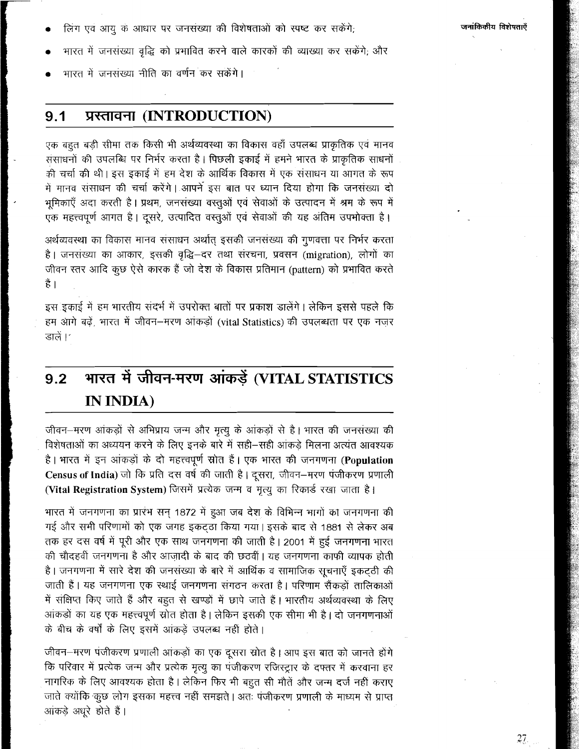- लिंग एवं आयु के आधार पर जनसंख्या की विशेषताओं को स्पष्ट कर सकेंगे;
- भारत में जनसंख्या वृद्धि को प्रभावित करने वाले कारकों की व्याख्या कर सकेंगे; और
- भारत में जनसंख्या नीति का वर्णन कर सकेंगे।

#### प्रस्तावना (INTRODUCTION)  $9.1$

एक बहुत बड़ी सीमा तक किसी भी अर्थव्यवस्था का विकास वहाँ उपलब्ध प्राकृतिक एवं मानव संसाधनों की उपलब्धि पर निर्भर करता है। पिछली इकाई में हमने भारत के प्राकृतिक साधनों की चर्चा की थी। इस इकाई में हम देश के आर्थिक विकास में एक संसाधन या आगत के रूप में मानव संसाधन की चर्चा करेंगे। आपने इस बात पर ध्यान दिया होगा कि जनसंख्या दो भूमिकाएँ अदा करती है। प्रथम, जनसंख्या वस्तूओं एवं सेवाओं के उत्पादन में श्रम के रूप में एक महत्त्वपूर्ण आगत है। दूसरे, उत्पादित वस्तुओं एवं सेवाओं की यह अंतिम उपभोक्ता है।

अर्थव्यवस्था का विकास मानव संसाधन अर्थात् इसकी जनसंख्या की गुणवत्ता पर निर्भर करता है। जनसंख्या का आकार, इसकी वृद्धि–दर तथा संरचना, प्रवसन (migration), लोगों का जीवन स्तर आदि कुछ ऐसे कारक हैं जो देश के विकास प्रतिमान (pattern) को प्रभावित करते हैं ।

इस इकाई में हम भारतीय संदर्भ में उपरोक्त बातों पर प्रकाश डालेंगे। लेकिन इससे पहले कि हम आगे बढ़ें, भारत में जीवन–मरण आंकड़ों (vital Statistics) की उपलब्धता पर एक नजर डालें।'

# भारत में जीवन-मरण आंकड़ें (VITAL STATISTICS  $9.2$ IN INDIA)

जीवन–मरण आंकड़ों से अभिप्राय जन्म और मृत्यु के आंकड़ों से है। भारत की जनसंख्या की विशेषताओं का अध्ययन करने के लिए इनके बारे में सही–सही आंकड़े मिलना अत्यंत आवश्यक है। भारत में इन आंकड़ों के दो महत्त्वपूर्ण स्रोत हैं। एक भारत की जनगणना (Population Census of India) जो कि प्रति दस वर्ष की जाती है। दूसरा, जीवन-मरण पंजीकरण प्रणाली

(Vital Registration System) जिसमें प्रत्येक जन्म व मृत्यू का रिकार्ड रखा जाता है।

भारत में जनगणना का प्रारंभ सन 1872 में हुआ जब देश के विभिन्न भागों का जनगणना की गई और सभी परिणामों को एक जगह इकट्ठा किया गया। इसके बाद से 1881 से लेकर अब तक हर दस वर्ष में पूरी और एक साथ जनगणना की जाती है। 2001 में हुई जनगणना भारत की चौदहवीं जनगणना है और आज़ादी के बाद की छठवीं। यह जनगणना काफी व्यापक होती है। जनगणना में सारे देश की जनसंख्या के बारे में आर्थिक व सामाजिक सूचनाएँ इकटठी की जाती हैं। यह जनगणना एक स्थाई जनगणना संगठन करता है। परिणाम सैंकड़ों तालिकाओं में संक्षिप्त किए जाते हैं और बहुत से खण्डों में छापे जाते हैं। भारतीय अर्थव्यवस्था के लिए आंकड़ों का यह एक महत्त्वपूर्ण स्रोत होता है। लेकिन इसकी एक सीमा भी है। दो जनगणनाओं के बीच के वर्षों के लिए इसमें आंकड़ें उपलब्ध नहीं होते।

जीवन–मरण पंजीकरण प्रणाली आंकड़ों का एक दूसरा स्रोत है। आप इस बात को जानते होंगे कि परिवार में प्रत्येक जन्म और प्रत्येक मृत्यू का पंजीकरण रजिस्ट्रार के दफ्तर में करवाना हर नागरिक के लिए आवश्यक होता है। लेकिन फिर भी बहुत सी मौतें और जन्म दर्ज नहीं कराए जाते क्योंकि कुछ लोग इसका महत्त्व नहीं समझते | अतः पंजीकरण प्रणाली के माध्यम से प्राप्त आंकडे अधरे होते हैं।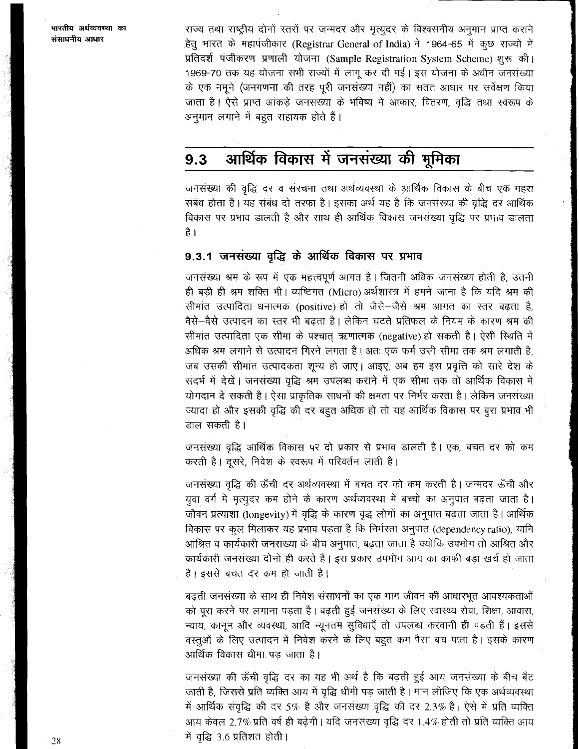राज्य तथा राष्ट्रीय दोनों स्तरों पर जन्मदर और मृत्युदर के विश्वसनीय अनुमान प्राप्त कराने .<br>हेतु भारत के महापंजीकार (Registrar General of India) ने 1964-65 में कूछ राज्यों में प्रतिदर्श पजीकरण प्रणाली योजना (Sample Registration System Scheme) शुरू की। 1969-70 तक यह योजना सभी राज्यों में लागू कर दी गई। इस योजना के अधीन जनसंख्या के एक नमूने (जनगणना की तरह पूरी जनसंख्या नहीं) का सतत आधार पर सर्वेक्षण किया जाता है। ऐसे प्राप्त आंकडे जनसंख्या के भविष्य में आकार, वितरण, वृद्धि तथा स्वरूप के अनुमान लगाने में बहुत सहायक होते हैं।

#### आर्थिक विकास में जनसंख्या की भूमिका  $9.3$

जनसंख्या की वृद्धि दर व संरचना तथा अर्थव्यवस्था के आर्थिक विकास के बीच एक गहरा संबंध होता है। यह संबंध दो तरफा है। इसका अर्थ यह है कि जनसंख्या की वृद्धि दर आर्थिक विकास पर प्रभाव डालती है और साथ ही आर्थिक विकास जनसंख्या वृद्धि पर प्रभाव डालता है ।

# 9.3.1 जनसंख्या वृद्धि के आर्थिक विकास पर प्रभाव

जनसंख्या श्रम के रूप में एक महत्त्वपूर्ण आगत है। जितनी अधिक जनसंख्या होती है, उतनी ही बड़ी ही श्रम शक्ति भी। व्यष्टिगत (Micro) अर्थशास्त्र में हमने जाना है कि यदि श्रम की सीमांत उत्पादिता धनात्मक (positive) हो तो जैसे-जैसे श्रम आगत का स्तर बढ़ता है, वैसे-वैसे उत्पादन का स्तर भी बढ़ता है। लेकिन घटते प्रतिफल के नियम के कारण श्रम की सीमांत उत्पादिता एक सीमा के पश्चात् ऋणात्मक (negative) हो सकती है। ऐसी स्थिति में अधिक श्रम लगाने से उत्पादन गिरने लगता है। अतः एक फर्म उसी सीमा तक श्रम लगाती है, जब उसकी सीमांत उत्पादकता शून्य हो जाए। आइए, अब हम इस प्रवृत्ति को सारे देश के सदर्भ में देखें। जनसंख्या वृद्धि श्रम उपलब्ध कराने में एक सीमा तक तो आर्थिक विकास में योगदान दे सकती है। ऐसा प्राकृतिक साधनों की क्षमता पर निर्भर करता है। लेकिन जनसंख्या ज्यादा हो और इसकी वृद्धि की दर बहुत अधिक हो तो यह आर्थिक विकास पर बुरा प्रभाव भी डाल सकती है।

जनसंख्या वृद्धि आर्थिक विकास पर दो प्रकार से प्रभाव डालती है। एक, बचत दर को कम करती है। दूसरे, निवेश के स्वरूप में परिवर्तन लाती है।

जनसंख्या वृद्धि की ऊँची दर अर्थव्यवस्था में बचत दर को कम करती है। जन्मदर ऊँची और युवा वर्ग में मृत्युदर कम होने के कारण अर्थव्यवस्था में बच्चों का अनुपात बढ़ता जाता है। जीवन प्रत्याशा (longevity) में वृद्धि के कारण वृद्ध लोगों का अनुपात बढ़ता जाता है। आर्थिक विकास पर कूल मिलाकर यह प्रभाव पड़ता है कि निर्भरता अनुपात (dependency ratio), यानि आश्रित व कार्यकारी जनसंख्या के बीच अनुपात, बढ़ता जाता है क्योंकि उपभोग तो आश्रित और कार्यकारी जनसंख्या दोनों ही करते हैं। इस प्रकार उपभोग आय का काफी बड़ा खर्च हो जाता है। इससे बचत दर कम हो जाती है।

बढ़ती जनसंख्या के साथ ही निवेश संसाधनों का एक भाग जीवन की आधारभूत आवश्यकताओं को पूरा करने पर लगाना पड़ता है। बढ़ती हुई जनसंख्या के लिए स्वास्थ्य सेवा, शिक्षा, आवास, न्याय, कानून और व्यवस्था, आदि न्यूनतम सुविधाएँ तो उपलब्ध करवानी ही पड़ती हैं। इससे वस्तूओं के लिए उत्पादन में निवेश करने के लिए बहुत कम पैसा बच पाता है। इसके कारण आर्थिक विकास धीमा पड जाता है।

जनसंख्या की ऊँची वृद्धि दर का यह भी अर्थ है कि बढ़ती हुई आय जनसंख्या के बीच बँट जाती है, जिससे प्रति व्यक्ति आय में वृद्धि धीमी पड़ जाती है। मान लीजिए कि एक अर्थव्यवस्था में आर्थिक संवृद्धि की दर 5% है और जनसंख्या वृद्धि की दर 2.3% है। ऐसे में प्रति व्यक्ति आय केवल 2.7% प्रति वर्ष ही बढ़ेगी। यदि जनसंख्या वृद्धि दर 1.4% होती तो प्रति व्यक्ति आय में वृद्धि 3.6 प्रतिशत होती।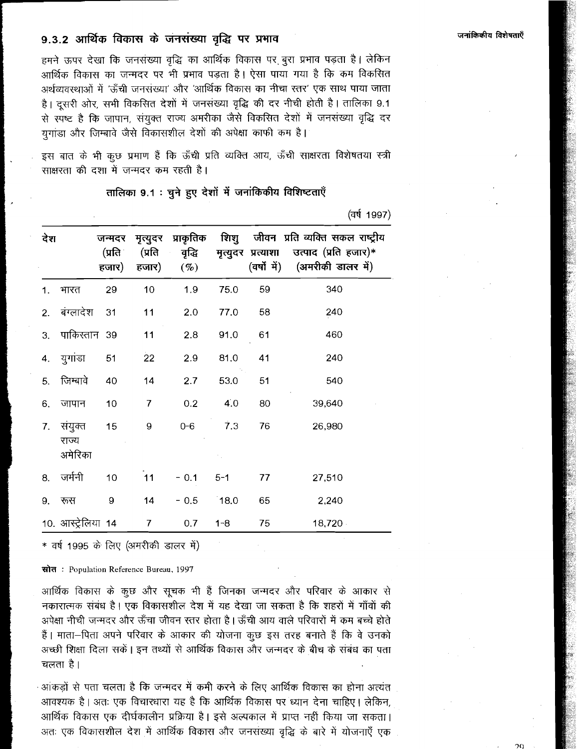## 9.3.2 आर्थिक विकास के जनसंख्या वृद्धि पर प्रभाव

हमने ऊपर देखा कि जनसंख्या वृद्धि का आर्थिक विकास पर बुरा प्रभाव पड़ता है। लेकिन आर्थिक विकास का जन्मदर पर भी प्रभाव पड़ता है। ऐसा पाया गया है कि कम विकसित अर्थव्यवस्थाओं में 'ऊँची जनसंख्या' और 'आर्थिक विकास का नीचा स्तर' एक साथ पाया जाता है। दसरी ओर, सभी विकसित देशों में जनसंख्या वृद्धि की दर नीची होती है। तालिका 9.1 से स्पष्ट है कि जापान, संयुक्त राज्य अमरीका जैसे विकसित देशों में जनसंख्या वृद्धि दर युगांडा और जिम्बावे जैसे विकासशील देशों की अपेक्षा काफी कम है।

इस बात के भी कुछ प्रमाण हैं कि ऊँची प्रति व्यक्ति आय, ऊँची साक्षरता विशेषतया स्त्री साक्षरता की दशा में जन्मदर कम रहती है।

तालिका 9.1 : चुने हुए देशों में जनांकिकीय विशिष्टताएँ

(वर्ष 1997)

| देश |                             | जन्मदर<br>(प्रति ।<br>हजार) | हजार)          | मृत्युदर प्राकृतिक<br>(प्रति वृद्धि<br>$(\%)$ |         |    | शिशु जीवन प्रति व्यक्ति सकल राष्ट्रीय<br>मृत्युदर प्रत्याशा उत्पाद (प्रति हजार)*<br>(वर्षों में) (अमरीकी डालर में) |
|-----|-----------------------------|-----------------------------|----------------|-----------------------------------------------|---------|----|--------------------------------------------------------------------------------------------------------------------|
|     | 1. भारत                     | 29                          | 10             | 1.9                                           | 75.0    | 59 | 340                                                                                                                |
|     | 2. बंग्लादेश 31             |                             | 11             | 2.0                                           | 77.0    | 58 | 240                                                                                                                |
| 3.  | पाकिस्तान 39                |                             | 11             | 2.8                                           | 91.0    | 61 | 460                                                                                                                |
| 4.  | युगांडा                     | 51                          | 22             | 2.9                                           | 81.0    | 41 | 240                                                                                                                |
| 5.  | जिम्बावे                    | 40                          | 14             | 2.7                                           | 53.0    | 51 | 540                                                                                                                |
| 6.  | जापान                       | 10                          | $\overline{7}$ | 0.2                                           | 4.0     | 80 | 39,640                                                                                                             |
| 7.  | संयुक्त<br>राज्य<br>अमेरिका | 15                          | 9              | $0 - 6$                                       | 7.3     | 76 | 26,980                                                                                                             |
|     | 8. जर्मनी                   | 10 <sub>1</sub>             | 11             | $-0.1$                                        | $5 - 1$ | 77 | 27,510                                                                                                             |
| 9.  | रूस                         | 9                           | 14             | $-0.5$                                        | 18.0    | 65 | 2,240                                                                                                              |
|     | 10. आस्ट्रेलिया 14          |                             | $\overline{7}$ | 0.7                                           | $1 - 8$ | 75 | 18,720                                                                                                             |

\* वर्ष 1995 के लिए (अमरीकी डालर में)

स्रोत: Population Reference Bureau, 1997

आर्थिक विकास के कुछ और सुचक भी हैं जिनका जन्मदर और परिवार के आकार से नकारात्मक संबंध है। एक विकासशील देश में यह देखा जा सकता है कि शहरों में गाँवों की अपेक्षा नीची जन्मदर और ऊँचा जीवन रतर होता है। ऊँची आय वाले परिवारों में कम बच्चे होते हैं। माता-पिता अपने परिवार के आकार की योजना कुछ इस तरह बनाते हैं कि वे उनको अच्छी शिक्षा दिला सकें। इन तथ्यों से आर्थिक विकास और जन्मदर के बीच के संबंध का पता चलता है।

ेआंकड़ों से पता चलता है कि जन्मदर में कमी करने के लिए आर्थिक विकास का होना अत्यंत आवश्यक है। अतः एक विचारधारा यह है कि आर्थिक विकास पर ध्यान देना चाहिए। लेकिन, आर्थिक विकास एक दीर्घकालीन प्रक्रिया है। इसे अल्पकाल में प्राप्त नहीं किया जा सकता। अतः एक विकासशील देश में आर्थिक विकास और जनसंख्या वृद्धि के बारे में योजनाएँ एक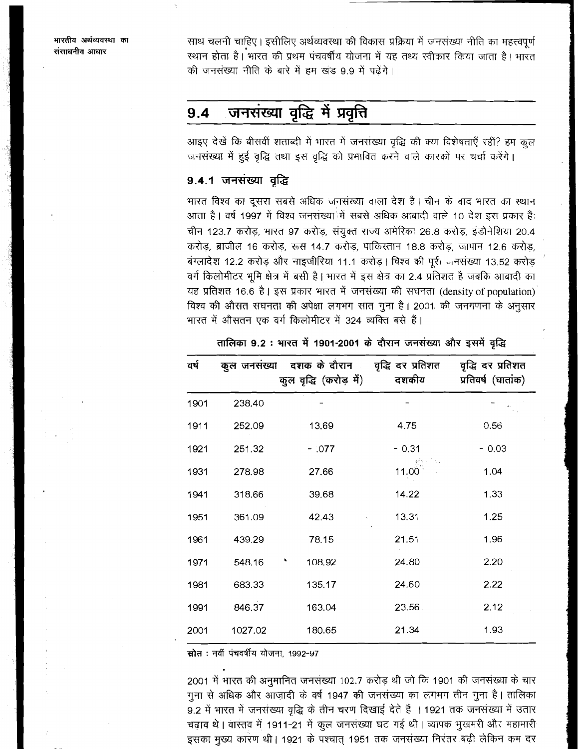साथ चलनी चाहिए। इसीलिए अर्थव्यवस्था की विकास प्रक्रिया में जनसंख्या नीति का महत्त्वपूर्ण स्थान होता है। भारत की प्रथम पंचवर्षीय योजना में यह तथ्य स्वीकार किया जाता है। भारत की जनसंख्या नीति के बारे में हम खंड 9.9 में पढ़ेंगे।

#### जनसंख्या वृद्धि में प्रवृत्ति  $9.4$

आइए देखें कि बीसवीं शताब्दी में भारत में जनसंख्या वृद्धि की क्या विशेषताएँ रहीं? हम कूल जनसंख्या में हुई वृद्धि तथा इस वृद्धि को प्रभावित करने वाले कारकों पर चर्चा करेंगे।

# 9.4.1 जनसंख्या वृद्धि

भारत विश्व का दूसरा सबसे अधिक जनसंख्या वाला देश है। चीन के बाद भारत का स्थान आता है। वर्ष 1997 में विश्व जनसंख्या में सबसे अधिक आबादी वाले 10 देश इस प्रकार हैं: चीन 123.7 करोड़, भारत 97 करोड़, संयुक्त राज्य अमेरिका 26.8 करोड़, इंडोनेशिया 20.4 करोड़, ब्राजील 16 करोड़, रूस 14.7 करोड़, पाकिस्तान 18.8 करोड़, जापान 12.6 करोड़, बंग्लादेश 12.2 करोड़ और नाइजीरिया 11.1 करोड़। विश्व की पूरी जनसंख्या 13.52 करोड़ वर्ग किलोमीटर भूमि क्षेत्र में बसी है। भारत में इस क्षेत्र का 2.4 प्रतिशत है जबकि आबादी का यह प्रतिशत 16.6 है। इस प्रकार भारत में जनसंख्या की सघनता (density of population) विश्व की औसत सघनता की अपेक्षा लगभग सात गुना है। 2001 की जनगणना के अनुसार भारत में औसतन एक वर्ग किलोमीटर में 324 व्यक्ति बसे हैं।

| वर्ष | कुल जनसंख्या | दशक के दौरान<br>कुल वृद्धि (करोड़ में) | वृद्धि दर प्रतिशत<br>दशकीय | वृद्धि दर प्रतिशत<br>प्रतिवर्ष (घातांक) |
|------|--------------|----------------------------------------|----------------------------|-----------------------------------------|
| 1901 | 238.40       |                                        |                            |                                         |
| 1911 | 252.09       | 13.69                                  | 4.75                       | 0.56                                    |
| 1921 | 251.32       | $-0.77$                                | $-0.31$                    | $-0.03$                                 |
| 1931 | 278.98       | 27.66                                  | 11.00                      | 1.04                                    |
| 1941 | 318.66       | 39.68                                  | 14.22                      | 1.33                                    |
| 1951 | 361.09       | 42.43                                  | 13.31                      | 1.25                                    |
| 1961 | 439.29       | 78.15                                  | 21.51                      | 1.96                                    |
| 1971 | 548.16       | 108.92                                 | 24.80                      | 2.20                                    |
| 1981 | 683.33       | 135.17                                 | 24.60                      | 2.22                                    |
| 1991 | 846.37       | 163.04                                 | 23.56                      | 2.12                                    |
| 2001 | 1027.02      | 180.65                                 | 21.34                      | 1.93                                    |

तालिका 9.2 : भारत में 1901-2001 के दौरान जनसंख्या और इसमें वृद्धि

स्रोत : नवीं पंचवर्षीय योजना, 1992-97

2001 में भारत की अनुमानित जनसंख्या 102.7 करोड़ थी जो कि 1901 की जनसंख्या के चार गुना से अधिक और आजादी के वर्ष 1947 की जनसंख्या का लगभग तीन गुना है। तालिका 9.2 में भारत में जनसंख्या वृद्धि के तीन चरण दिखाई देते हैं । 1921 तक जनसंख्या में उतार चढ़ाव थे। वास्तव में 1911-21 में कुल जनसंख्या घट गई थी। व्यापक भुखमरी और महामारी इसका मुख्य कारण थी। 1921 के पश्चात् 1951 तक जनसंख्या निरंतर बढ़ी लेकिन कम दर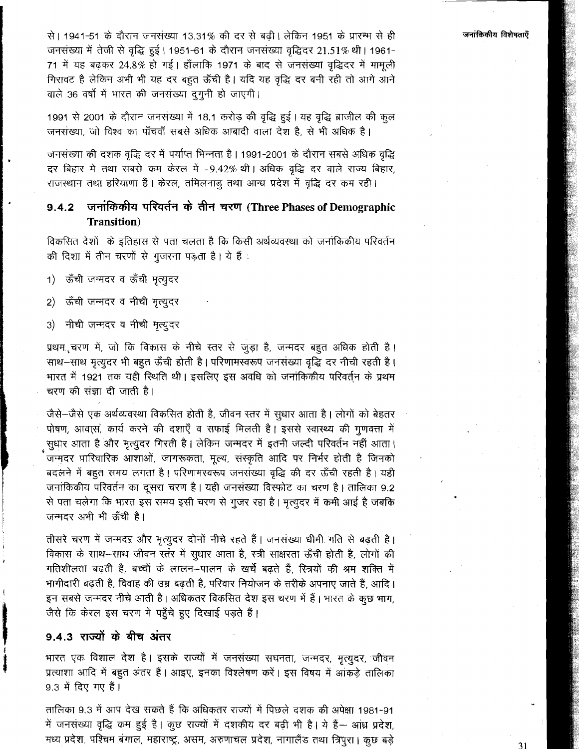से। 1941-51 के दौरान जनसंख्या 13.31% की दर से बढ़ी। लेकिन 1951 के प्रारम्भ से ही जनसंख्या में तेजी से वृद्धि हुई। 1951-61 के दौरान जनसंख्या वृद्धिदर 21.51% थी। 1961-71 में यह बढ़कर 24.8% हो गई। हाँलाकि 1971 के बाद से जनसंख्या वृद्धिदर में मामूली गिरावट है लेकिन अभी भी यह दर बहुत ऊँची है। यदि यह वृद्धि दर बनी रही तो आगे आने वाले 36 वर्षों में भारत की जनसंख्या दुगुनी हो जाएगी।

1991 से 2001 के दौरान जनसंख्या में 18.1 करोड़ की वृद्धि हुई। यह वृद्धि ब्राजील की कूल जनसंख्या, जो विश्व का पाँचवाँ सबसे अधिक आबादी वाला देश है, से भी अधिक है।

जनसंख्या की दशक वृद्धि दर में पर्याप्त भिन्नता है। 1991-2001 के दौरान सबसे अधिक वृद्धि दर बिहार में तथा सबसे कम केरल में -9.42% थी। अधिक वृद्धि दर वाले राज्य बिहार, राजस्थान तथा हरियाणा हैं। केरल, तमिलनाडु तथा आन्ध्र प्रदेश में वृद्धि दर कम रही।

#### जनांकिकीय परिवर्तन के तीन चरण (Three Phases of Demographic  $9.4.2$ Transition)

विकसित देशों के इतिहास से पता चलता है कि किसी अर्थव्यवस्था को जनांकिकीय परिवर्तन की दिशा में तीन चरणों से गुजरना पड़ता है। ये हैं :

ऊँची जन्मदर व ऊँची मृत्युदर  $\left( \begin{matrix} 1 \end{matrix} \right)$ 

- ऊँची जन्मदर व नीची मृत्युदर  $\left( 2\right)$
- नीची जन्मदर व नीची मृत्युदर  $3)$

प्रथम, चरण में, जो कि विकास के नीचे स्तर से जुड़ा है, जन्मदर बहुत अधिक होती है। साथ-साथ मृत्युदर भी बहूत ऊँची होती है। परिणामस्वरूप जनसंख्या वृद्धि दर नीची रहती है। भारत में 1921 तक यही रिथति थी। इसलिए इस अवधि को जनाकिकीय परिवर्तन के प्रथम चरण की संज्ञा दी जाती है।

जैसे-जैसे एक अर्थव्यवस्था विकसित होती है, जीवन स्तर में सूधार आता है। लोगों को बेहतर पोषण, आवास, कार्य करने की दशाएँ व सफाई मिलती है। इससे स्वास्थ्य की गुणवत्ता में सुधार आता है और मृत्युदर गिरती है। लेकिन जन्मदर में इतनी जल्दी परिवर्तन नहीं आता। जन्मदर पारिवारिक आशाओं, जागरूकता, मूल्य, संस्कृति आदि पर निर्भर होती है जिनको बदलने में बहुत समय लगता है। परिणामस्वरूप जनसंख्या वृद्धि की दर ऊँची रहती है। यही जनांकिकीय परिवर्तन का दूसरा चरण है। यही जनसंख्या विस्फोट का चरण है। तालिका 9.2 से पता चलेगा कि भारत इस समय इसी चरण से गुजर रहा है। मृत्युदर में कमी आई है जबकि जन्मदर अभी भी ऊँची है।

तीसरे चरण में जन्मदर और मृत्युदर दोनों नीचे रहते हैं। जनसंख्या धीमी गति से बढ़ती है। विकास के साथ-साथ जीवन स्तंर में सुधार आता है, स्त्री साक्षरता ऊँची होती है, लोगों की गतिशीलता बढ़ती है, बच्चों के लालन–पालन के खर्चे बढ़ते हैं, रित्रयों की श्रम शक्ति में भागीदारी बढ़ती है, विवाह की उम्र बढ़ती है, परिवार नियोजन के तरीके अपनाए जाते हैं, आदि। इन सबसे जन्मदर नीचे आती है। अधिकतर विकसित देश इस चरण में हैं। भारत के कुछ भाग, जैसे कि केरल इस चरण में पहुँचे हुए दिखाई पड़ते हैं।

## 9.4.3 राज्यों के बीच अंतर

भारत एक विशाल देश है। इसके राज्यों में जनसंख्या सघनता, जन्मदर, मृत्युदर, जीवन प्रत्याशा आदि में बहुत अंतर हैं। आइए, इनका विश्लेषण करें। इस विषय में आंकड़े तालिका 9.3 में दिए गए हैं।

तालिका 9.3 में आप देख सकते हैं कि अधिकतर राज्यों में पिछले दशक की अपेक्षा 1981-91 में जनसंख्या वृद्धि कम हुई है। कुछ राज्यों में दशकीय दर बढ़ी भी है। ये हैं-- आंध्र प्रदेश, मध्य प्रदेश, पश्चिम बंगाल, महाराष्ट्र, असम, अरुणाचल प्रदेश, नागालैंड तथा त्रिपुरा। कुछ बड़े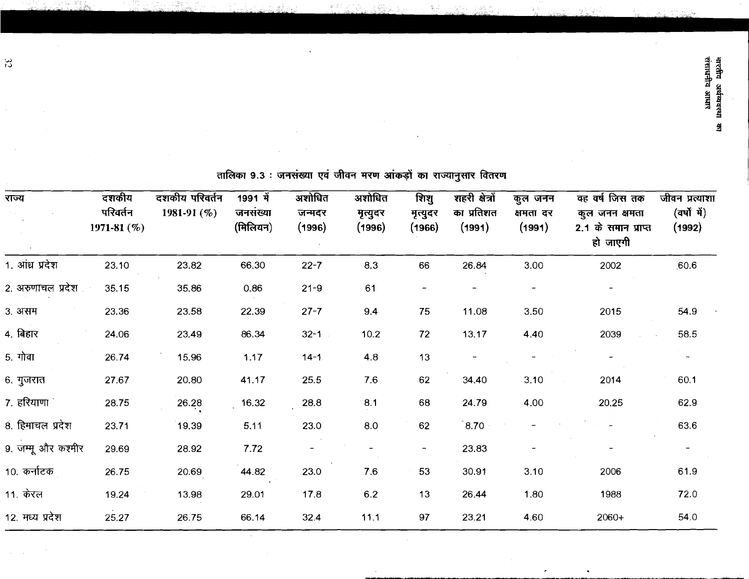|                                                                   |                                  |                               | シン・シー・ピーン                                      |                           |                             |                            | じんじゅん こうつ                              |                                                                                                                                                                                                                                                                                                                                                      |                                                                 |                                                                          |
|-------------------------------------------------------------------|----------------------------------|-------------------------------|------------------------------------------------|---------------------------|-----------------------------|----------------------------|----------------------------------------|------------------------------------------------------------------------------------------------------------------------------------------------------------------------------------------------------------------------------------------------------------------------------------------------------------------------------------------------------|-----------------------------------------------------------------|--------------------------------------------------------------------------|
| <b>POLY</b>                                                       | 1971-81 (%)<br>परिवर्तन<br>दशकीय | दशकीय परिवर्तन<br>1981-91 (%) | $(\widehat{H}$ लिसियन)<br>जनसंख्या<br>1991 में | अशोधित<br>जन्मदर<br>(396) | अशोधित<br>मृत्युदर<br>(396) | (1966)<br>मृत्युदर<br>शिश् | का प्रतिशत<br>शहरी क्षेत्रों<br>(1991) | कुल जनन<br>क्षमता दर<br>(1991)                                                                                                                                                                                                                                                                                                                       | 2.1 के समान प्राप्त<br>क्ह वर्ष जिस तक<br>कुल जनन क्षमता<br>有下方 | जीवन प्रत्याशा<br>$(\overrightarrow{qq}$ $\overrightarrow{q})$<br>(1992) |
| । आध्र प्रदेश                                                     | 23.10                            | 23.82                         | 66.30                                          | $22 - 7$                  | 83                          | 66                         | 26.84                                  | 3.00                                                                                                                                                                                                                                                                                                                                                 | 2002                                                            | 60.6                                                                     |
| 2. अरुणाचल प्रदेश                                                 | 35.15                            | 35.86                         | 0.86                                           | $21 - 9$                  | $\overline{6}$              | $\mathbf{I}$               | $\begin{array}{c} \hline \end{array}$  | $\begin{array}{c} \rule{0.2cm}{0.15cm} \rule{0.2cm}{0.15cm} \rule{0.2cm}{0.15cm} \rule{0.2cm}{0.15cm} \rule{0.2cm}{0.15cm} \rule{0.2cm}{0.15cm} \rule{0.2cm}{0.15cm} \rule{0.2cm}{0.15cm} \rule{0.2cm}{0.15cm} \rule{0.2cm}{0.15cm} \rule{0.2cm}{0.15cm} \rule{0.2cm}{0.15cm} \rule{0.2cm}{0.15cm} \rule{0.2cm}{0.15cm} \rule{0.2cm}{0.15cm} \rule{$ | $\mathbf I$                                                     |                                                                          |
| 3.3 <sub>7</sub>                                                  | 23.36                            | 23.58                         | 22.39                                          | $27 - 7$                  | 9.4                         | 75                         | 11.08                                  | 3.50                                                                                                                                                                                                                                                                                                                                                 | 2015                                                            | 54.9                                                                     |
| 4. बिहार                                                          | 24.06                            | 23.49                         | 86.34                                          | $32 - 1$                  | 10.2                        | 72                         | 13.17                                  | 4.40                                                                                                                                                                                                                                                                                                                                                 | 2039                                                            | 58.5                                                                     |
| 5. गोवा                                                           | 26.74                            | 15.96                         | 1.17                                           | $14 - 1$                  | $4.\overline{8}$            | $\frac{3}{2}$              | $\mathbf I$                            | $\mathbf{I}$                                                                                                                                                                                                                                                                                                                                         | ١                                                               | ł                                                                        |
| $6.$ गुजरात                                                       | 27.67                            | 20.80                         | 41.17                                          | 25.5                      | 7.6                         | 62                         | 34.40                                  | 3.10                                                                                                                                                                                                                                                                                                                                                 | 2014                                                            | 60.1                                                                     |
| 7. हरियाणा                                                        | 28.75                            | 26.28                         | 16.32                                          | 28.8                      | $\overline{8}$              | 68                         | 24.79                                  | 4.00                                                                                                                                                                                                                                                                                                                                                 | 20.25                                                           | 62.9                                                                     |
| 8. हिमाचल प्रदेश                                                  | 23.71                            | 19.39                         | 5.11                                           | 23.0                      | 8.0                         | $\delta$                   | 8.70                                   | ı                                                                                                                                                                                                                                                                                                                                                    |                                                                 | 63.6                                                                     |
| 9. जम्मू और कश्मीर                                                | 29.69                            | 28.92                         | 7.72                                           | I                         |                             | ı                          | 23.83                                  |                                                                                                                                                                                                                                                                                                                                                      |                                                                 | $\pmb{\mathsf{l}}$                                                       |
| $10.$ $\overline{q}$ $\overline{r}$ $\overline{r}$ $\overline{r}$ | 26.75                            | 20.69                         | 44.82                                          | 23.0                      | 7.6                         | 53                         | 30.91                                  | 3.10                                                                                                                                                                                                                                                                                                                                                 | 2006                                                            | 61.9                                                                     |
| $11.$ करत                                                         | 19.24                            | 13.98                         | 29.01                                          | 17.8                      | 6.2                         | $\frac{3}{2}$              | 26.44                                  | 1.80                                                                                                                                                                                                                                                                                                                                                 | 1988                                                            | 72.0                                                                     |
| 12. मध्य प्रदेश                                                   | 25.27                            | 26.75                         | 66.14                                          | 32.4                      | 11.1                        | 67                         | 23.21                                  | 4.60                                                                                                                                                                                                                                                                                                                                                 | 2060+                                                           | 54.0                                                                     |

तालिका ९.३ : जनसंख्या एवं जीवन मरण आंकडों का राज्यानसार वितरण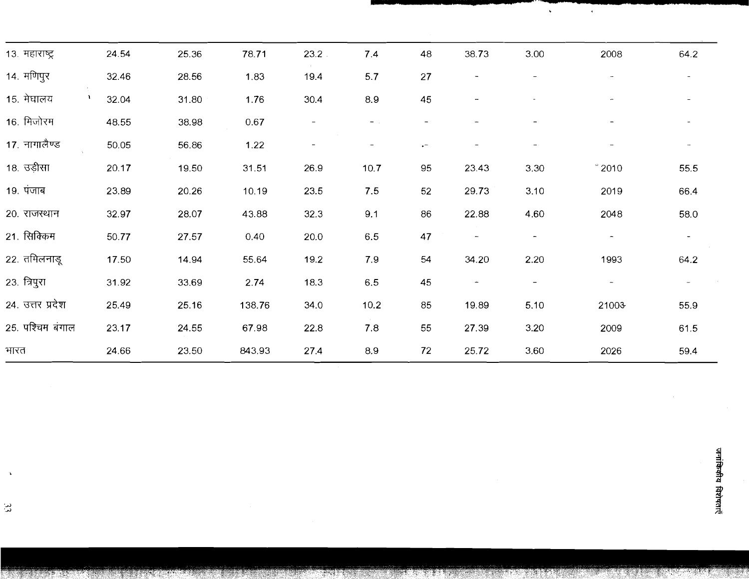| $13.$ HEIVIK         | 24.54 | 25.36 | 78.71  | 23.2           | 7.4               | $\frac{8}{4}$                                                                                                                                                                                                                                                                                                                                                                                                  | 38.73                    | 3.00         | 2008                     | 64.2           |
|----------------------|-------|-------|--------|----------------|-------------------|----------------------------------------------------------------------------------------------------------------------------------------------------------------------------------------------------------------------------------------------------------------------------------------------------------------------------------------------------------------------------------------------------------------|--------------------------|--------------|--------------------------|----------------|
| 14. मणिपुर           | 32.46 | 28.56 | 1.83   | 19.4           | 5.7               | 27                                                                                                                                                                                                                                                                                                                                                                                                             |                          |              | ţ                        | $\mathbf{I}$   |
| 15. मेघालय           | 32.04 | 31.80 | 1.76   | 30.4           | 8.9               | 45                                                                                                                                                                                                                                                                                                                                                                                                             |                          |              |                          | $\mathbf I$    |
| $16.$ मिजोरम         | 48.55 | 38.98 | 0.67   | $\overline{1}$ | $\mathbf{I}$      | $\begin{array}{c} \rule{0pt}{2ex} \rule{0pt}{2ex} \rule{0pt}{2ex} \rule{0pt}{2ex} \rule{0pt}{2ex} \rule{0pt}{2ex} \rule{0pt}{2ex} \rule{0pt}{2ex} \rule{0pt}{2ex} \rule{0pt}{2ex} \rule{0pt}{2ex} \rule{0pt}{2ex} \rule{0pt}{2ex} \rule{0pt}{2ex} \rule{0pt}{2ex} \rule{0pt}{2ex} \rule{0pt}{2ex} \rule{0pt}{2ex} \rule{0pt}{2ex} \rule{0pt}{2ex} \rule{0pt}{2ex} \rule{0pt}{2ex} \rule{0pt}{2ex} \rule{0pt}{$ |                          |              |                          | $\mathbf{f}$   |
| 17. नागालैण्ड        | 50.05 | 56.86 | 1.22   | $\mathbf{I}$   | $\mathbf{I}$      | Ų                                                                                                                                                                                                                                                                                                                                                                                                              | $\mathbf{I}$             | $\mathbf I$  | $\mathbf{I}$             | $\mathfrak{t}$ |
| 18. उड़ीसा           | 20.17 | 19.50 | 31.51  | 26.9           | 10.7              | 95                                                                                                                                                                                                                                                                                                                                                                                                             | 23.43                    | 3.30         | 2010                     | 55.5           |
| $19.$ $\overline{4}$ | 23.89 | 20.26 | 10.19  | 23.5           | 7.5               | 52                                                                                                                                                                                                                                                                                                                                                                                                             | 29.73                    | 3.10         | 2019                     | 664            |
| 20.707217            | 32.97 | 28.07 | 43.88  | 32.3           | $\overline{9}$ .  | 86                                                                                                                                                                                                                                                                                                                                                                                                             | 22.88                    | 4.60         | 2048                     | 58.0           |
| 21. सिक्किम          | 50.77 | 27.57 | 0.40   | <b>20.0</b>    | 6.5               | 47                                                                                                                                                                                                                                                                                                                                                                                                             | $\overline{\phantom{a}}$ | $\mathbf{I}$ | $\mathbf{I}$             | $\mathbf{I}$   |
| 22. तमिलनाडू         | 17.50 | 14.94 | 55.64  | 19.2           | 7.9               | 54                                                                                                                                                                                                                                                                                                                                                                                                             | 34.20                    | 2.20         | 1993                     | 64.2           |
| 23. त्रिपुरा         | 31.92 | 33.69 | 2.74   | 18.3           | 6.5               | 45                                                                                                                                                                                                                                                                                                                                                                                                             | $\overline{\phantom{a}}$ | $\mathbf{I}$ | $\overline{\phantom{a}}$ | $\mathbf{I}$   |
| 24. उत्तर प्रदेश     | 25.49 | 25.16 | 138.76 | 34.0           | 10.2              | 85                                                                                                                                                                                                                                                                                                                                                                                                             | 19.89                    | 5.10         | 21003                    | 55.9           |
| 25. पश्चिम बंगाल     | 23.17 | 24.55 | 67.98  | 22.8           | $\overline{7}$ .8 | 55                                                                                                                                                                                                                                                                                                                                                                                                             | 27.39                    | 3.20         | 2009                     | 61.5           |
| मारत                 | 24.66 | 23.50 | 843.93 | 27.4           | 8.9               | 72                                                                                                                                                                                                                                                                                                                                                                                                             | 25.72                    | 3.60         | 2026                     | 59.4           |
|                      |       |       |        |                |                   |                                                                                                                                                                                                                                                                                                                                                                                                                |                          |              |                          |                |

जनांकिकीय विशेषताएँ

 $\hat{\mathcal{L}}$ 

 $\frac{1}{\sqrt{2}}$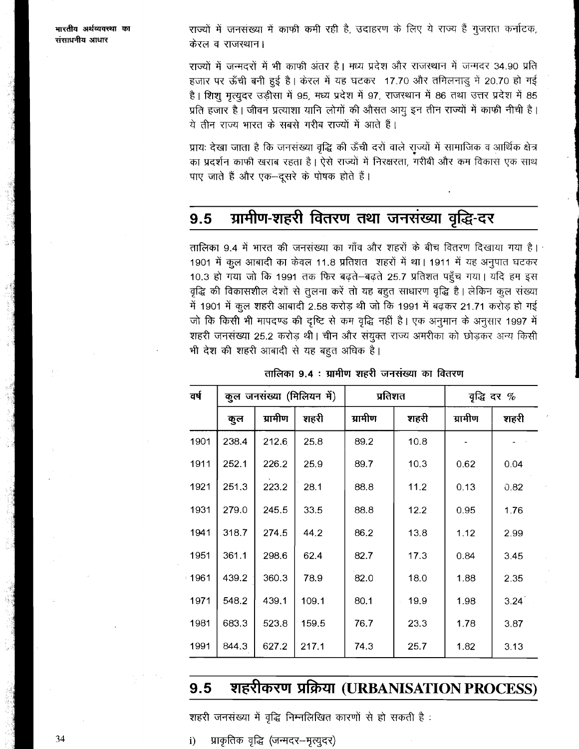राज्यों में जनसंख्या में काफी कमी रही है, उदाहरण के लिए ये राज्य हैं गुजरात कर्नाटक, केरल व राजस्थान।

राज्यों में जन्मदरों में भी काफी अंतर है। मध्य प्रदेश और राजस्थान में जन्मदर 34.90 प्रति हजार पर ऊँची बनी हुई है। केरल में यह घटकर 17.70 और तमिलनाडु में 20.70 हो गई है। शिशू मृत्युदर उड़ीसा में 95, मध्य प्रदेश में 97, राजस्थान में 86 तथा उत्तर प्रदेश में 85 प्रति हजार है। जीवन प्रत्याशा यानि लोगों की औसत आयु इन तीन राज्यों में काफी नीची है। ये तीन राज्य भारत के सबसे गरीब राज्यों में आते हैं।

प्रायः देखा जाता है कि जनसंख्या वृद्धि की ऊँची दरों वाले राज्यों में सामाजिक व आर्थिक क्षेत्र का प्रदर्शन काफी खराब रहता है। ऐसे राज्यों में निरक्षरता, गरीबी और कम विकास एक साथ पाए जाते हैं और एक-न्दूसरे के पोषक होते हैं।

#### ग्रामीण-शहरी वितरण तथा जनसंख्या वृद्धि-दर 9.5

तालिका 9.4 में भारत की जनसंख्या का गाँव और शहरों के बीच वितरण दिखाया गया है। 1901 में कुल आबादी का केवल 11.8 प्रतिशत शहरों में था। 1911 में यह अनुपात घटकर 10.3 हो गया जो कि 1991 तक फिर बढ़ते-बढ़ते 25.7 प्रतिशत पहुँच गया। यदि हम इस वृद्धि की विकासशील देशों से तुलना करें तो यह बहुत साधारण वृद्धि है। लेकिन कुल संख्या में 1901 में कुल शहरी आबादी 2.58 करोड़ थी जो कि 1991 में बढ़कर 21.71 करोड़ हो गई जो कि किसी भी मापदण्ड की दृष्टि से कम वृद्धि नहीं है। एक अनुमान के अनुसार 1997 में शहरी जनसंख्या 25.2 करोड़ थी। चीन और संयुक्त राज्य अमरीका को छोड़कर अन्य किसी भी देश की शहरी आबादी से यह बहुत अधिक है।

| वर्ष | कुल जनसंख्या (मिलियन में) |         |       | प्रतिशत |      |         | वृद्धि दर $%$ |
|------|---------------------------|---------|-------|---------|------|---------|---------------|
|      | कुल                       | ग्रामीण | शहरी  | ग्रामीण | शहरी | ग्रामीण | शहरी          |
| 1901 | 238.4                     | 212.6   | 25.8  | 89.2    | 10.8 |         |               |
| 1911 | 252.1                     | 226.2   | 25.9  | 89.7    | 10.3 | 0.62    | 0.04          |
| 1921 | 251.3                     | 223.2   | 28.1  | 88.8    | 11.2 | 0.13    | 0.82          |
| 1931 | 279.0                     | 245.5   | 33.5  | 88.8    | 12.2 | 0.95    | 1.76          |
| 1941 | 318.7                     | 274.5   | 44.2  | 86.2    | 13.8 | 1.12    | 2.99          |
| 1951 | 361.1                     | 298.6   | 62.4  | 82.7    | 17.3 | 0.84    | 3.45          |
| 1961 | 439.2                     | 360.3   | 78.9  | 82.0    | 18.0 | 1.88    | 2.35          |
| 1971 | 548.2                     | 439.1   | 109.1 | 80.1    | 19.9 | 1.98    | 3.24          |
| 1981 | 683.3                     | 523.8   | 159.5 | 76.7    | 23.3 | 1.78    | 3.87          |
| 1991 | 844.3                     | 627.2   | 217.1 | 74.3    | 25.7 | 1.82    | 3.13          |

तालिका 9.4 : ग्रामीण शहरी जनसंख्या का वितरण

#### शहरीकरण प्रक्रिया (URBANISATION PROCESS)  $9.5$

शहरी जनसंख्या में वृद्धि निम्नलिखित कारणों से हो सकती है :

प्राकृतिक वृद्धि (जन्मदर–मृत्युदर) i)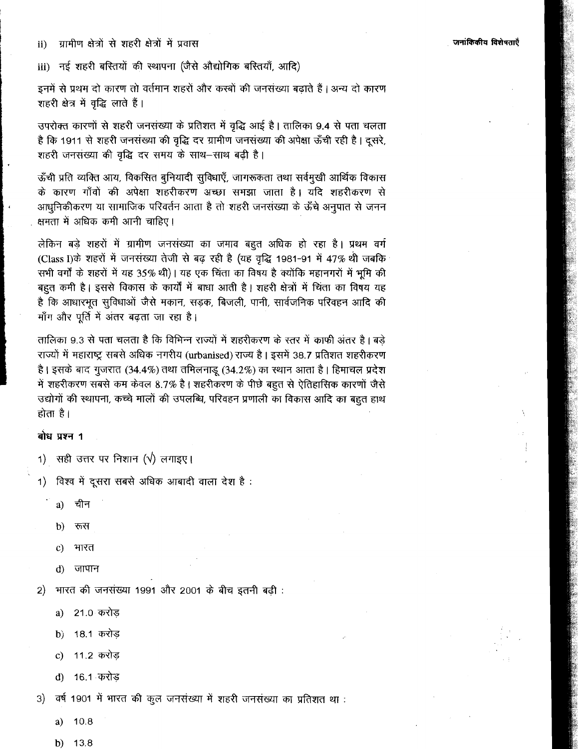ग्रामीण क्षेत्रों से शहरी क्षेत्रों में प्रवास  $\mathbf{ii}$ 

नई शहरी बरितयों की स्थापना (जैसे औद्योगिक बरितयाँ, आदि) iii)

इनमें से प्रथम दो कारण तो वर्तमान शहरों और कस्बों की जनसंख्या बढाते हैं। अन्य दो कारण शहरी क्षेत्र में वृद्धि लाते हैं।

उपरोक्त कारणों से शहरी जनसंख्या के प्रतिशत में वृद्धि आई है। तालिका 9.4 से पता चलता है कि 1911 से शहरी जनसंख्या की वृद्धि दर ग्रामीण जनसंख्या की अपेक्षा ऊँची रही है। दूसरे, शहरी जनसंख्या की वृद्धि दर समय के साथ-साथ बढी है।

ऊँची प्रति व्यक्ति आय, विकसित बुनियादी सुविधाएँ, जागरूकता तथा सर्वमुखी आर्थिक विकास के कारण गाँवों की अपेक्षा शहरीकरण अच्छा समझा जाता है। यदि शहरीकरण से आधुनिकीकरण या सामाजिक परिवर्तन आता है तो शहरी जनसंख्या के ऊँचे अनुपात से जनन क्षमता में अधिक कमी आनी चाहिए।

लेकिन बड़े शहरों में ग्रामीण जनसंख्या का जमाव बहुत अधिक हो रहा है। प्रथम वर्ग (Class I)के शहरों में जनसंख्या तेजी से बढ़ रही है (यह वृद्धि 1981-91 में 47% थी जबकि सभी वर्गों के शहरों में यह 35% थी)। यह एक चिंता का विषय है क्योंकि महानगरों में भूमि की बहुत कमी है। इससे विकास के कार्यों में बाधा आती है। शहरी क्षेत्रों में चिंता का विषय यह है कि आधारभूत सुविधाओं जैसे मकान, सड़क, बिजली, पानी, सार्वजनिक परिवहन आदि की माँग और पूर्ति में अंतर बढता जा रहा है।

तालिका 9.3 से पता चलता है कि विभिन्न राज्यों में शहरीकरण के स्तर में काफी अंतर है। बड़े राज्यों में महाराष्ट्र सबसे अधिक नगरीय (urbanised) राज्य है। इसमें 38.7 प्रतिशत शहरीकरण है। इसके बाद गुजरात (34.4%) तथा तमिलनाडू (34.2%) का स्थान आता है। हिमाचल प्रदेश में शहरीकरण सबसे कम केवल 8.7% है। शहरीकरण के पीछे बहुत से ऐतिहासिक कारणों जैसे उद्योगों की स्थापना, कच्चे मालों की उपलब्धि, परिवहन प्रणाली का विकास आदि का बहुत हाथ होता है।

### बोध प्रश्न 1

- 1) सही उत्तर पर निशान ( $\sqrt{ }$ ) लगाइए।
- विश्व में दूसरा सबसे अधिक आबादी वाला देश है:  $1)$ 
	- चीन  $a)$
	- रूस  $\mathbf{b}$
	- भारत  $\mathbf{C}$
	- जापान d)

भारत की जनसंख्या 1991 और 2001 के बीच इतनी बढ़ी : 2)

- 21.0 करोड a)
- 18.1 करोड़  $\mathbf{b}$
- 11.2 करोड़  $\mathbf{c})$
- 16.1 करोड  $\mathbf{d}$

वर्ष 1901 में भारत की कुल जनसंख्या में शहरी जनसंख्या का प्रतिशत था :  $3)$ 

- a)  $10.8$
- $b)$ 13.8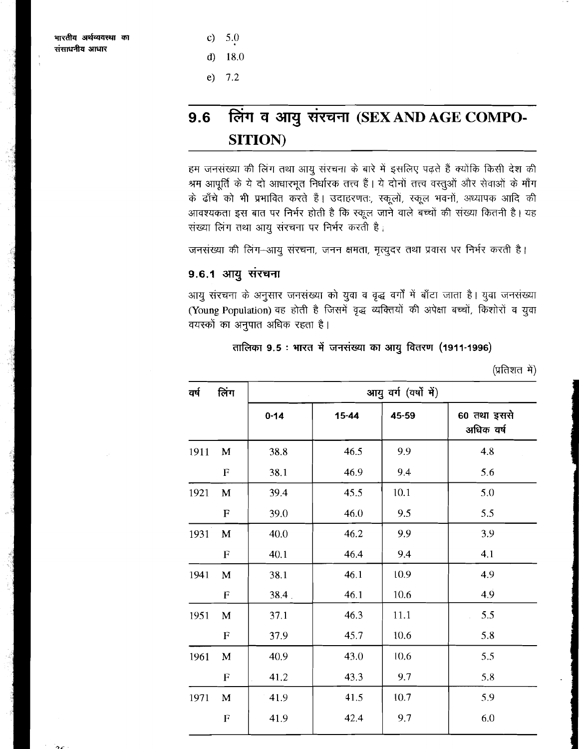- $\mathbf{c}$ 5.0
- $\mathbf{d}$ 18.0
- $e)$  $7.2$

# लिंग व आयु संरचना (SEX AND AGE COMPO-9.6 **SITION**)

हम जनसंख्या की लिंग तथा आयु संरचना के बारे में इसलिए पढ़ते हैं क्योंकि किसी देश की श्रम आपूर्ति के ये दो आधारभूत निर्धारक तत्त्व हैं। ये दोनों तत्त्व वस्तुओं और सेवाओं के माँग के ढाँचे को भी प्रभावित करते हैं। उदाहरणतः, स्कूलों, स्कूल भवनों, अध्यापक आदि की आवश्यकता इस बात पर निर्भर होती है कि स्कूल जाने वाले बच्चों की संख्या कितनी है। यह संख्या लिंग तथा आयु संरचना पर निर्भर करती है।

जनसंख्या की लिंग-आयु संरचना, जनन क्षमता, मृत्युदर तथा प्रवास पर निर्भर करती है।

## 9.6.1 आयु संरचना

आयु संरचना के अनुसार जनसंख्या को युवा व वृद्ध वर्गों में बाँटा जाता है। युवा जनसंख्या (Young Population) वह होती है जिसमें वृद्ध व्यक्तियों की अपेक्षा बच्चों, किशोरों व युवा वयस्कों का अनुपात अधिक रहता है।

## तालिका 9.5 : भारत में जनसंख्या का आयु वितरण (1911-1996)

(प्रतिशत में)

| वर्ष | लिंग        |          | आयु वर्ग (वर्षों में) |       |                          |  |  |
|------|-------------|----------|-----------------------|-------|--------------------------|--|--|
|      |             | $0 - 14$ | $15 - 44$             | 45-59 | 60 तथा इससे<br>अधिक वर्ष |  |  |
| 1911 | M           | 38.8     | 46.5                  | 9.9   | 4.8                      |  |  |
|      | ${\bf F}$   | 38.1     | 46.9                  | 9.4   | 5.6                      |  |  |
| 1921 | M           | 39.4     | 45.5                  | 10.1  | 5,0                      |  |  |
|      | $\mathbf F$ | 39.0     | 46.0                  | 9.5   | 5.5                      |  |  |
| 1931 | $\mathbf M$ | 40.0     | 46.2                  | 9.9   | 3.9                      |  |  |
|      | ${\bf F}$   | 40.1     | 46.4                  | 9.4   | 4.1                      |  |  |
| 1941 | $\mathbf M$ | 38.1     | 46.1                  | 10.9  | 4.9                      |  |  |
|      | ${\bf F}$   | $38.4$ . | 46.1                  | 10.6  | 4.9                      |  |  |
| 1951 | M           | 37.1     | 46.3                  | 11.1  | 5.5                      |  |  |
|      | $\mathbf F$ | 37.9     | 45.7                  | 10.6  | 5.8                      |  |  |
| 1961 | $\mathbf M$ | 40.9     | 43.0                  | 10.6  | 5.5                      |  |  |
|      | $\mathbf F$ | 41.2     | 43.3                  | 9.7   | 5.8                      |  |  |
| 1971 | $\mathbf M$ | 41.9     | 41.5                  | 10.7  | 5.9                      |  |  |
|      | ${\bf F}$   | 41.9     | 42.4                  | 9.7   | 6.0                      |  |  |
|      |             |          |                       |       |                          |  |  |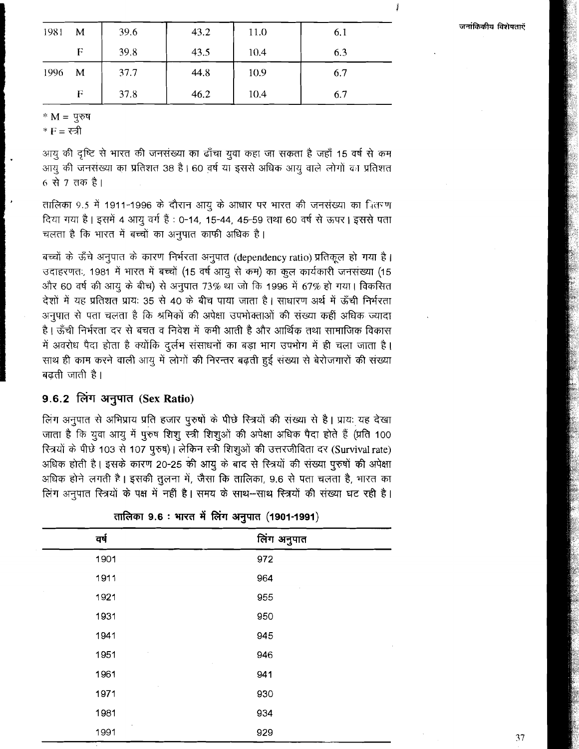Í

| 1981 | M | 39.6 | 43.2 | 11.0 | 6.1 |
|------|---|------|------|------|-----|
|      | F | 39.8 | 43.5 | 10.4 | 6.3 |
| 1996 | M | 37.7 | 44.8 | 10.9 | 6.7 |
|      | F | 37.8 | 46.2 | 10.4 | 6.7 |

<sup>\*</sup>  $M = \Psi$ रुष

 $*F = \overline{v}$ जी

आयु की दृष्टि से भारत की जनसंख्या का ढाँचा युवा कहा जा सकता है जहाँ 15 वर्ष से कम आयु की जनसंख्या का प्रतिशत 38 है। 60 वर्ष या इससे अधिक आयु वाले लोगों का प्रतिशत 6 से 7 तक है।

तालिका 9.5 में 1911-1996 के दौरान आयू के आधार पर भारत की जनसंख्या का नितरण दिया गया है। इसमें 4 आयु वर्ग हैं : 0-14, 15-44, 45-59 तथा 60 वर्ष से ऊपर। इससे पता चलता है कि भारत में बच्चों का अनुपात काफी अधिक है।<br>बच्चों के ऊँचे अनुपात के कारण निर्भरता अनुपात (dependency ratio) प्रतिकूल हो गया है।

उदाहरणतः, 1981 में भारत में बच्चों (15 वर्ष आयु से कम) का कूल कार्यकारी जनसंख्या (15 और 60 वर्ष की आयु के बीच) से अनुपात 73% था जो कि 1996 में 67% हो गया। विकसित देशों में यह प्रतिशत प्रायः 35 से 40 के बीच पाया जाता है। साधारण अर्थ में ऊँची निर्भरता अनुपात से पता चलता है कि श्रमिकों की अपेक्षा उपभोक्ताओं की संख्या कहीं अधिक ज्यादा है। ऊँची निर्भरता दर से बचत व निवेश में कमी आती है और आर्थिक तथा सामाजिक विकास में अवरोध पैदा होता है क्योंकि दुर्लभ संसाधनों का बड़ा भाग उपभोग में ही चला जाता है। साथ ही काम करने वाली आयू में लोगों की निरन्तर बढ़ती हुई संख्या से बेरोजगारों की संख्या बढती जाती है।

## **9.6.2** Pdrl *3FplTI* **(Sex Ratio)**

लिंग अनुपात से अभिप्राय प्रति हजार पुरुषों के पीछे रित्रयों की संख्या से है। प्रायः यह देखा जाता है कि यूवा आयू में पुरुष शिशू स्त्री शिशूओं की अपेक्षा अधिक पैदा होते हैं (प्रति 100 रित्रयों के पीछे 103 से 107 पुरुष)। लेकिन स्त्री शिशुओं की उत्तरजीविता दर (Survival rate) अधिक होती है। इसके कारण 20-25 की आयु के बाद से रित्रयों की संख्या पुरुषों की अपेक्षा अधिक होने लगती है। इसकी तुलना में, जैसा कि तालिका, 9.6 से पता चलता है, भारत का लिंग अनुपात रित्रियों के पक्ष में नहीं है। समय के साथ-साथ रित्रयों की संख्या घट रही है।

| लिंग अनुपात |
|-------------|
| 972         |
| 964         |
| 955         |
| 950         |
| 945         |
| 946         |
| 941         |
| 930         |
| 934         |
| 929         |
|             |

तालिका 9.6 : भारत में लिंग अनुपात (1901-1991)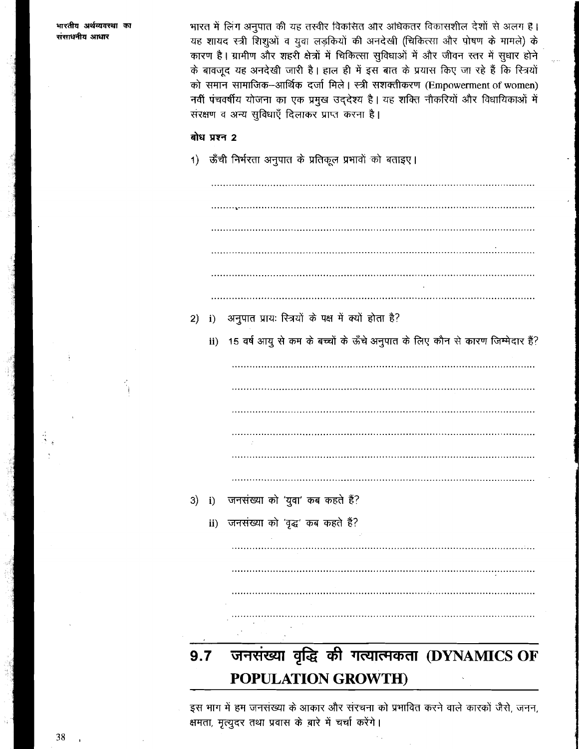भारत में लिंग अनुपात की यह तस्वीर विकसित और अधिकतर विकासशील देशों से अलग है। यह शायद स्त्री शिशुओं व युवा लड़कियों की अनदेखी (चिकित्सा और पोषण के मामले) के कारण है। ग्रामीण और शहरी क्षेत्रों में चिकित्सा सुविधाओं में और जीवन स्तर में सुधार होने के बावजूद यह अनदेखी जारी है। हाल ही में इस बात के प्रयास किए जा रहे हैं कि स्त्रियों को समान सामाजिक-आर्थिक दर्जा मिले। स्त्री सशक्तीकरण (Empowerment of women) नवीं पंचवर्षीय योजना का एक प्रमुख उद्देश्य है। यह शक्ति नौकरियों और विधायिकाओं में सरक्षण व अन्य सुविधाएँ दिलाकर प्राप्त करना है।

## बोध प्रश्न 2

1) ऊँची निर्भरता अनुपात के प्रतिकूल प्रभावों को बताइए।

|    |     | <b>POPULATION GROWTH)</b>                                                    |
|----|-----|------------------------------------------------------------------------------|
|    | 9.7 | जनसंख्या वृद्धि की गत्यात्मकता (DYNAMICS OF                                  |
|    |     |                                                                              |
|    |     |                                                                              |
|    |     |                                                                              |
|    |     |                                                                              |
|    | ii) | जनसंख्या को 'वृद्ध' कब कहते हैं?                                             |
| 3) | i)  | जनसंख्या को 'युवा' कब कहते हैं?                                              |
|    |     |                                                                              |
|    |     |                                                                              |
|    |     |                                                                              |
|    |     |                                                                              |
|    |     |                                                                              |
|    | ii) | 15 वर्ष आयु से कम के बच्चों के ऊँचे अनुपात के लिए कौन से कारण जिम्मेदार हैं? |
| 2) | i)  | अनुपात प्रायः रित्रयों के पक्ष में क्यों होता है?                            |
|    |     |                                                                              |
|    |     |                                                                              |
|    |     |                                                                              |
|    |     |                                                                              |

इस भाग में हम जनसंख्या के आकार और संरचना को प्रभावित करने वाले कारकों जैसे, जनन, क्षमता, मृत्युदर तथा प्रवास के बारे में चर्चा करेंगे।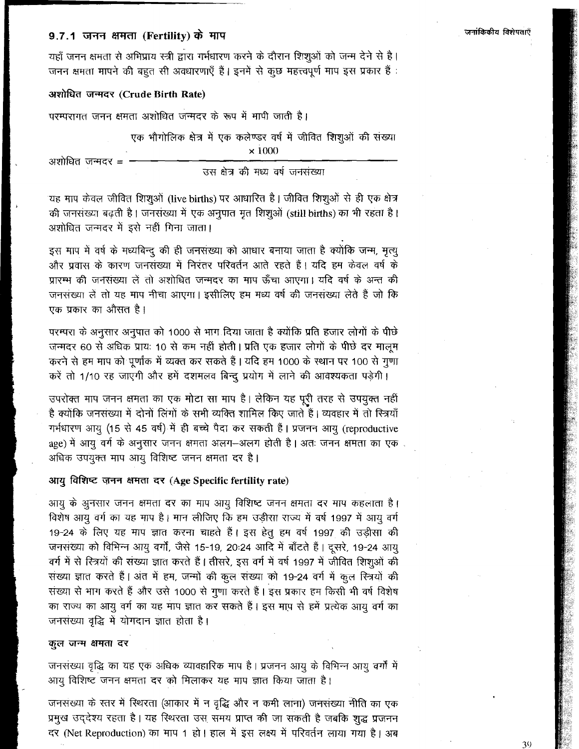# 9.7.1 जनन क्षमता (Fertility) के माप

यहाँ जनन क्षमता से अभिप्राय स्त्री द्वारा गर्भधारण करने के दौरान शिशुओं को जन्म देने से है। जनन क्षमता मापने की बहुत सी अवधारणाएँ हैं। इनमें से कूछ महत्त्वपूर्ण माप इस प्रकार हैं :

#### अशोधित जन्मदर (Crude Birth Rate)

परम्परागत जनन क्षमता अशोधित जन्मदर के रूप में मापी जाती है।

एक भौगोलिक क्षेत्र में एक कलेण्डर वर्ष में जीवित शिशुओं की संख्या  $\times 1000$ 

अशोधित जन्मदर =

उस क्षेत्र की मध्य वर्ष जनसंख्या

यह माप केवल जीवित शिशुओं (live births) पर आधारित है। जीवित शिशुओं से ही एक क्षेत्र की जनसंख्या बढ़ती है। जनसंख्या में एक अनुपात मृत शिशुओं (still births) का भी रहता है। अशोधित जन्मदर में इसे नहीं गिना जाता।

इस माप में वर्ष के मध्यबिन्दु की ही जनसंख्या को आधार बनाया जाता है क्योंकि जन्म, मृत्यु और प्रवास के कारण जनसंख्या में निरंतर परिवर्तन आते रहते हैं। यदि हम केवल वर्ष के प्रारम्भ की जनसंख्या लें तो अशोधित जन्मदर का माप ऊँचा आएगा। यदि वर्ष के अन्त की जनसंख्या लें तो यह माप नीचा आएगा। इसीलिए हम मध्य वर्ष की जनसंख्या लेते हैं जो कि एक प्रकार का औसत है।

परम्परा के अनुसार अनुपात को 1000 से भाग दिया जाता है क्योंकि प्रति हजार लोगों के पीछे जन्मदर 60 से अधिक प्रायः 10 से कम नहीं होती। प्रति एक हजार लोगों के पीछे दर मालूम करने से हम माप को पूर्णांक में व्यक्त कर सकते हैं। यदि हम 1000 के स्थान पर 100 से गुणा करें तो 1/10 रह जाएंगी और हमें दशमलव बिन्दू प्रयोग में लाने की आवश्यकता पड़ेगी।

उपरोक्त माप जनन क्षमता का एक मोटा सा माप है। लेकिन यह पूरी तरह से उपयुक्त नहीं है क्योंकि जनसंख्या में दोनों लिंगों के सभी व्यक्ति शामिल किए जाते हैं। व्यवहार में तो स्त्रियाँ गर्भधारण आयू (15 से 45 वर्ष) में ही बच्चे पैदा कर सकती हैं। प्रजनन आयु (reproductive age) में आयु वर्ग के अनुसार जनन क्षमता अलग-अलग होती है। अतः जनन क्षमता का एक . अधिक उपयुक्त माप आयु विशिष्ट जनन क्षमता दर है।

#### आयु विशिष्ट जनन क्षमता दर (Age Specific fertility rate)

आयु के अुनसार जनन क्षमता दर का माप आयु विशिष्ट जनन क्षमता दर माप कहलाता है। विशेष आयु वर्ग का यह माप है। मान लीजिए कि हम उड़ीसा राज्य में वर्ष 1997 में आयु वर्ग 19-24 के लिए यह माप ज्ञात करना चाहते हैं। इस हेतु हम वर्ष 1997 की उड़ीसा की जनसंख्या को विभिन्न आयु वर्गों, जैसे 15-19, 20:24 आदि में बाँटते हैं। दूसरे, 19-24 आयु वर्ग में से रित्रयों की संख्या ज्ञात करते हैं। तीसरे, इस वर्ग में वर्ष 1997 में जीवित शिशुओं की संख्या ज्ञात करते हैं। अंत में हम, जन्मों की कुल संख्या को 19-24 वर्ग में कुल स्त्रियों की संख्या से भाग करते हैं और उसे 1000 से गुणा करते हैं। इस प्रकार हम किसी भी वर्ष विशेष का राज्य का आयु वर्ग का यह माप ज्ञात कर सकते हैं। इस माप से हमें प्रत्येक आयु वर्ग का जनसंख्या वृद्धि में योगदान ज्ञात होता है।

#### कुल जन्म क्षमता दर

जनसंख्या वृद्धि का यह एक अधिक व्यावहारिक माप है। प्रजनन आयु के विभिन्न आयु वर्गों में आयु विशिष्ट जनन क्षमता दर को मिलाकर यह माप ज्ञात किया जाता है।

जनसंख्या के स्तर में रिथरता (आकार में न वृद्धि और न कमी लाना) जनसंख्या नीति का एक प्रमुख उद्देश्य रहता है। यह रिथरता उस समय प्राप्त की जा सकती है जबकि शुद्ध प्रजनन दर (Net Reproduction) का माप 1 हो। हाल में इस लक्ष्य में परिवर्तन लाया गया है। अब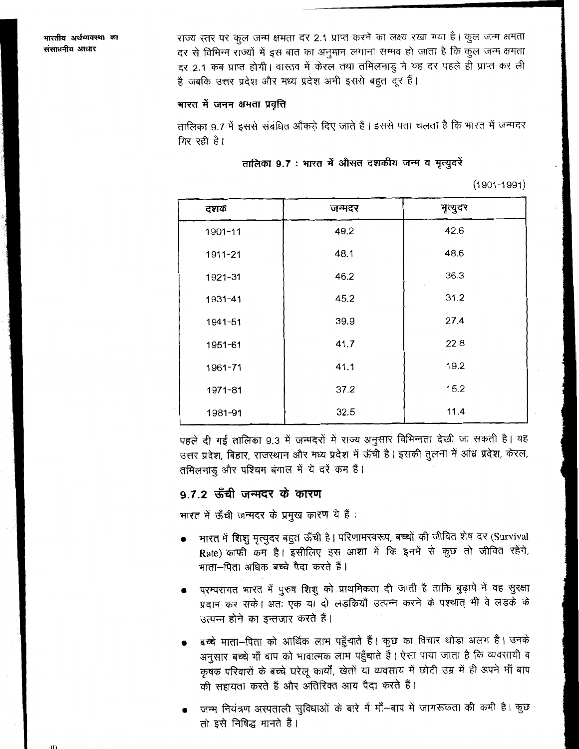राज्य स्तर पर कूल जन्म क्षमता दर 2.1 प्राप्त करने का लक्ष्य रखा गया है। कुल जन्म क्षमता दर से विभिन्न राज्यों में इस बात का अनुमान लगाना सम्भव हो जाता है कि कुल जन्म क्षमता दर 2.1 कब प्राप्त होगी। वास्तव में केरल तथा तमिलनाडु ने यह दर पहले ही प्राप्त कर ली है जबकि उत्तर प्रदेश और मध्य प्रदेश अभी इससे बहुत दूर हैं।

#### भारत में जनन क्षमता प्रवृत्ति

तालिका 9.7 में इससे संबंधित आँकड़े दिए जाते हैं। इससे पता चलता है कि भारत में जन्मदर गिर रही है।

#### तालिका 9.7 : भारत में औसत दशकीय जन्म व मृत्युदरें

 $(1901 - 1991)$ 

| दशक     | जन्मदर | मृत्युदर |
|---------|--------|----------|
| 1901-11 | 49.2   | 42.6     |
| 1911-21 | 48.1   | 48.6     |
| 1921-31 | 46.2   | 36.3     |
| 1931-41 | 45.2   | 31.2     |
| 1941-51 | 39.9   | 27.4     |
| 1951-61 | 41.7   | 22.8     |
| 1961-71 | 41.1   | 19.2     |
| 1971-81 | 37.2   | 15.2     |
| 1981-91 | 32.5   | 11.4     |

पहले दी गई तालिका 9.3 में जन्मदरों में राज्य अनुसार विभिन्नता देखी जा सकती है। यह उत्तर प्रदेश, बिहार, राजस्थान और मध्य प्रदेश में ऊँची है। इसकी तुलना में आंध्र प्रदेश, केरल, तमिलनाडु और पश्चिम बंगाल में ये दरें कम हैं।

## 9.7.2 ऊँची जन्मदर के कारण

भारत में ऊँची जन्मदर के प्रमुख कारण ये हैं :

- भारत में शिशु मृत्युदर बहुत ऊँची है। परिणामस्वरूप, बच्चों की जीवित शेष दर (Survival Rate) काफी कम है। इसीलिए इस आशा में कि इनमें से कुछ तो जीवित रहेंगे, माता-पिता अधिक बच्चे पैदा करते हैं।
- परम्परागत भारत में पुरुष शिशु को प्राथमिकता दी जाती है ताकि बुढ़ापे में वह सुरक्षा प्रदान कर सके। अतः एक या दो लड़कियाँ उत्पन्न करने के पश्चात् भी वे लड़के के उत्पन्न होने का इन्तजार करते हैं।
- बच्चे माता-पिता को आर्थिक लाभ पहुँचाते हैं। कुछ का विचार थोड़ा अलग है। उनके अनुसार बच्चे माँ बाप को भावात्मक लाभ पहुँचाते हैं। ऐसा पाया जाता है कि व्यवसायी व कृषक परिवारों के बच्चे घरेलू कार्यों, खेतों या व्यवसाय में छोटी उम्र में ही अपने माँ बाप की सहायता करते हैं और अतिरिक्त आय पैदा करते हैं।
- जन्म नियंत्रण अस्पताली सुविधाओं के बारे में माँ–बाप में जागरूकता की कमी है। कुछ तो इसे निषिद्ध मानते हैं।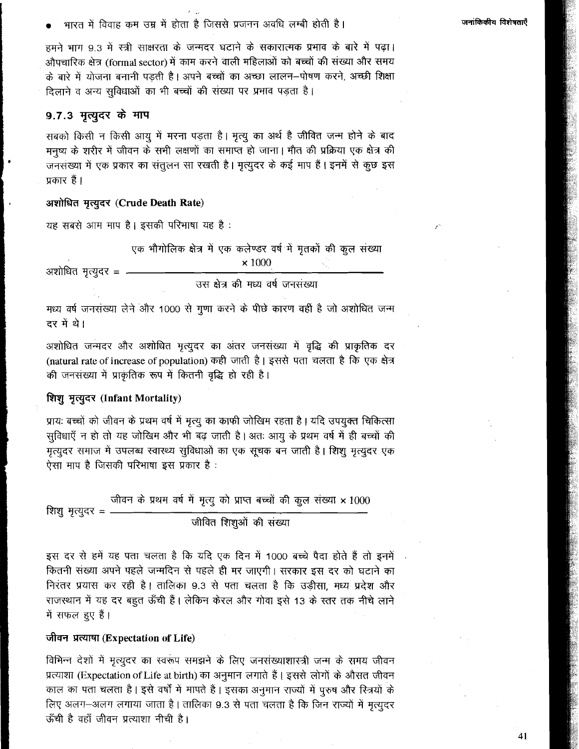भारत में विवाह कम उम्र में होता है जिससे प्रजनन अवधि लम्बी होती है।

हमने भाग 9.3 में स्त्री साक्षरता के जन्मदर घटाने के सकारात्मक प्रभाव के बारे में पढ़ा। औपचारिक क्षेत्र (formal sector) में काम करने वाली महिलाओं को बच्चों की संख्या और समय के बारे में योजना बनानी पड़ती है। अपने बच्चों का अच्छा लालन–पोषण करने, अच्छी शिक्षा दिलाने व अन्य सुविधाओं का भी बच्चों की संख्या पर प्रभाव पड़ता है।

## 9.7.3 मृत्युदर के माप

सबको किसी न किसी आयु में मरना पड़ता है। मृत्यु का अर्थ है जीवित जन्म होने के बाद मनुष्य के शरीर में जीवन के सभी लक्षणों का समाप्त हो जाना। मौत की प्रक्रिया एक क्षेत्र की जनसंख्या में एक प्रकार का संतुलन सा रखती है। मृत्युदर के कई माप हैं। इनमें से कुछ इस प्रकार हैं।

#### अशोधित मृत्युदर (Crude Death Rate)

यह सबसे आम माप है। इसकी परिभाषा यह है :

एक भौगोलिक क्षेत्र में एक कलेण्डर वर्ष में मृतकों की कुल संख्या  $\times 1000$ 

अशोधित मृत्यूदर = -

उस क्षेत्र की मध्य वर्ष जनसंख्या

मध्य वर्ष जनसंख्या लेने और 1000 से गुणा करने के पीछे कारण वहीं है जो अशोधित जन्म दर में थे।

अशोधित जन्मदर और अशोधित मृत्युदर का अंतर जनसंख्या में वृद्धि की प्राकृतिक दर (natural rate of increase of population) कही जाती है। इससे पता चलता है कि एक क्षेत्र की जनसंख्या में प्राकृतिक रूप में कितनी वृद्धि हो रही है।

#### शिशु मृत्युदर (Infant Mortality)

प्रायः बच्चों को जीवन के प्रथम वर्ष में मृत्यु का काफी जोखिम रहता है। यदि उपयुक्त चिकित्सा सुविधाएँ न हो तो यह जोखिम और भी बढ़ जाती है। अतः आयु के प्रथम वर्ष में ही बच्चों की मृत्युदर समाज में उपलब्ध स्वास्थ्य सुविधाओं का एक सूचक बन जाती है। शिशु मृत्युदर एक ऐसा माप है जिसकी परिभाषा इस प्रकार है :

जीवन के प्रथम वर्ष में मृत्यू को प्राप्त बच्चों की कुल संख्या x 1000 शिशु मृत्युदर = -जीवित शिशुओं की संख्या

इस दर से हमें यह पता चलता है कि यदि एक दिन में 1000 बच्चे पैदा होते हैं तो इनमें कितनी संख्या अपने पहले जन्मदिन से पहले ही मर जाएगी। सरकार इस दर को घटाने का निरंतर प्रयास कर रही है। तालिका 9.3 से पता चलता है कि उड़ीसा, मध्य प्रदेश और राजस्थान में यह दर बहुत ऊँची हैं। लेकिन केरल और गोवा इसे 13 के स्तर तक नीचे लाने में सफल हुए हैं।

#### जीवन प्रत्याषा (Expectation of Life)

विभिन्न देशों में मृत्युदर का स्वरूप समझने के लिए जनसंख्याशास्त्री जन्म के समय जीवन प्रत्याशा (Expectation of Life at birth) का अनुमान लगाते हैं। इससे लोगों के औसत जीवन काल का पता चलता है। इसे वर्षों में मापते हैं। इसका अनुमान राज्यों में पुरुष और रित्रयों के लिए अलग-अलग लगाया जाता है। तालिका 9.3 से पता चलता है कि जिन राज्यों में मृत्युदर ऊँची है वहाँ जीवन प्रत्याशा नीची है।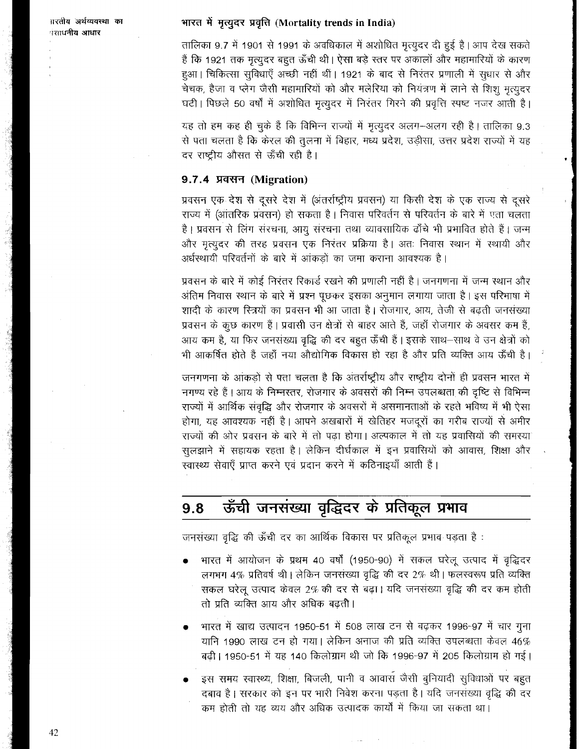ग़रतीय अर्थव्यवस्था का नसाधनीय आधार

## भारत में मृत्युदर प्रवृत्ति (Mortality trends in India)

तालिका 9.7 में 1901 से 1991 के अवधिकाल में अशोधित मृत्युदर दी हुई है। आप देख सकते हैं कि 1921 तक मृत्युदर बहुत ऊँची थी। ऐसा बड़े स्तर पर अकालों और महामारियों के कारण हुआ। चिकित्सा सुविधाएँ अच्छी नहीं थीं। 1921 के बाद से निरंतर प्रणाली में सुधार से और चेचक, हैजा व प्लेग जैसी महामारियों को और मलेरिया को नियंत्रण में लाने से शिशू मृत्युदर घटी। पिछले 50 वर्षों में अशोधित मृत्युदर में निरंतर गिरने की प्रवृत्ति स्पष्ट नजर आती है।

यह तो हम कह ही चुके हैं कि विभिन्न राज्यों में मृत्युदर अलग-अलग रही है। तालिका 9.3 से पता चलता है कि केरल की तुलना में बिहार, मध्य प्रदेश, उड़ीसा, उत्तर प्रदेश राज्यों में यह दर राष्ट्रीय औसत से ऊँची रही है।

## 9.7.4 प्रवसन (Migration)

प्रवसन एक देश से दूसरे देश में (अंतर्राष्ट्रीय प्रवसन) या किसी देश के एक राज्य से दूसरे राज्य में (आंतरिक प्रवसन) हो सकता है। निवास परिवर्तन से परिवर्तन के बारे में एता चलता है। प्रवसन से लिंग संरचना, आयु संरचना तथा व्यावसायिक ढाँचे भी प्रभावित होते हैं। जन्म .<br>और मृत्युदर की तरह प्रवसन एक निरंतर प्रक्रिया है। अतः निवास स्थान में स्थायी और अर्धस्थायी परिवर्तनों के बारे में आंकड़ों का जमा कराना आवश्यक है।

प्रवसन के बारे में कोई निरंतर रिकार्ड रखने की प्रणाली नहीं है। जनगणना में जन्म स्थान और अंतिम निवास स्थान के बारे में प्रश्न पूछकर इसका अनुमान लगाया जाता है। इस परिभाषा में शादी के कारण स्त्रियों का प्रवसन भी आ जाता है। रोजगार, आय, तेजी से बढ़ती जनसंख्या प्रवसन के कूछ कारण हैं। प्रवासी उन क्षेत्रों से बाहर आते हैं, जहाँ रोजगार के अवसर कम हैं, आय कम है, या फिर जनसंख्या वृद्धि की दर बहूत ऊँची हैं। इसके साथ–साथ वे उन क्षेत्रों को भी आकर्षित होते हैं जहाँ नया औद्योगिक विकास हो रहा है और प्रति व्यक्ति आय ऊँची है।

जनगणना के आंकड़ों से पता चलता है कि अंतर्राष्ट्रीय और राष्ट्रीय दोनों ही प्रवसन भारत में नगण्य रहे हैं। आय के निम्नस्तर, रोजगार के अवसरों की निम्न उपलब्धता की दृष्टि से विभिन्न राज्यों में आर्थिक संवृद्धि और रोजगार के अवसरों में असमानताओं के रहते भविष्य में भी ऐसा होगा, यह आवश्यक नहीं है। आपने अखबारों में खेतिहर मजदूरों का गरीब राज्यों से अमीर राज्यों की ओर प्रवसन के बारे में तो पढ़ा होगा। अल्पकाल में तो यह प्रवासियों की समस्या सुलझाने में सहायक रहता है। लेकिन दीर्घकाल में इन प्रवासियों को आवास, शिक्षा और खास्थ्य सेवाएँ प्राप्त करने एवं प्रदान करने में कठिनाइयाँ आती हैं।

### ऊँची जनसंख्या वृद्धिदर के प्रतिकूल प्रभाव  $9.8$

जनसंख्या बृद्धि की ऊँची दर का आर्थिक विकास पर प्रतिकूल प्रभाव पड़ता है:

- भारत में आयोजन के प्रथम 40 वर्षों (1950-90) में सकल घरेलू उत्पाद में वृद्धिदर लगभग 4% प्रतिवर्ष थी। लेकिन जनसंख्या वृद्धि की दर 2% थी। फलस्वरूप प्रति व्यक्ति सकल घरेलू उत्पाद केवल 2% की दर से बढ़ा। यदि जनसंख्या वृद्धि की दर कम होती तो प्रति व्यक्ति आय और अधिक बढ़ती।
- भारत में खाद्य उत्पादन 1950-51 में 508 लाख टन से बढ़कर 1996-97 में चार गुना यानि 1990 लाख टन हो गया। लेकिन अनाज की प्रति व्यक्ति उपलब्धता केवल 46% बढी। 1950-51 में यह 140 किलोग्राम थी जो कि 1996-97 में 205 किलोग्राम हो गई।
- इस समय स्वास्थ्य, शिक्षा, बिजली, पानी व आवास जैसी बुनियादी सुविधाओं पर बहुत दबाव है। सरकार को इन पर भारी निवेश करना पड़ता है। यदि जनसंख्या वृद्धि की दर कम होती तो यह व्यय और अधिक उत्पादक कार्यों में किया जा सकता था।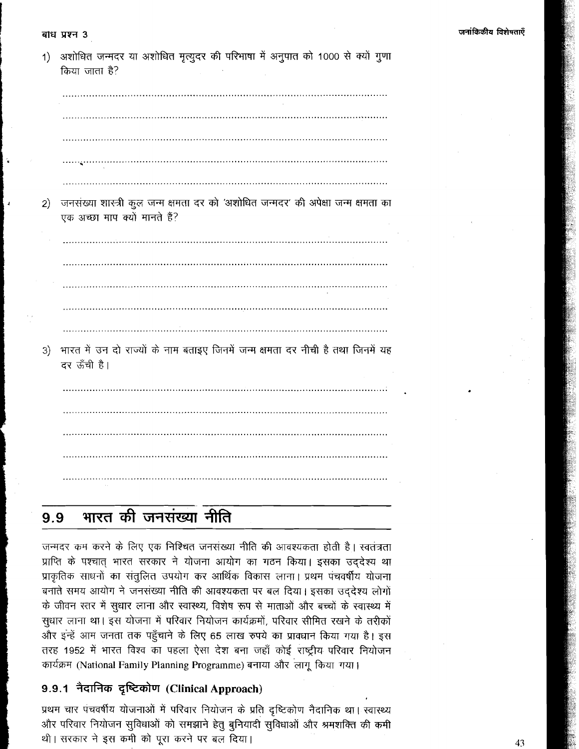#### बांध प्रश्न 3

| 1) | अशोधित जन्मदर या अशोधित मृत्युदर की परिभाषा में अनुपात को 1000 से क्यों गुणा<br>किया जाता है?                      |
|----|--------------------------------------------------------------------------------------------------------------------|
|    |                                                                                                                    |
|    |                                                                                                                    |
|    |                                                                                                                    |
|    |                                                                                                                    |
|    |                                                                                                                    |
| 2) | जनसंख्या शास्त्री कुल जन्म क्षमता दर को 'अशोधित जन्मदर' की अपेक्षा जन्म क्षमता का<br>एक अच्छा माप क्यों मानते हैं? |
|    |                                                                                                                    |
|    |                                                                                                                    |
|    |                                                                                                                    |
|    |                                                                                                                    |
|    |                                                                                                                    |
| 3) | भारत में उन दो राज्यों के नाम बताइए जिनमें जन्म क्षमता दर नीची है तथा जिनमें यह<br>दर ऊँची है।                     |
|    |                                                                                                                    |
|    |                                                                                                                    |
|    |                                                                                                                    |
|    |                                                                                                                    |
|    |                                                                                                                    |

#### 99

जन्मदर कम करने के लिए एक निश्चित जनसंख्या नीति की आवश्यकता होती है। स्वतंत्रता प्राप्ति के पश्चात् भारत सरकार ने योजना आयोग का गठन किया। इसका उद्देश्य था प्राकृतिक साधनों का संतुलित उपयोग कर आर्थिक विकास लाना। प्रथम पंचवर्षीय योजना बनाते समय आयोग ने जनसंख्या नीति की आवश्यकता पर बल दिया। इसका उद्देश्य लोगों के जीवन रतर में सुधार लाना और स्वास्थ्य, विशेष रूप से माताओं और बच्चों के स्वास्थ्य में सुधार लाना था। इस योजना में परिवार नियोजन कार्यक्रमों, परिवार सीमित रखने के तरीकों और इन्हें आम जनता तक पहुँचाने के लिए 65 लाख रुपये का प्रावधान किया गया है। इस rरह 1952 में भारत विश्व का पहला ऐसा देश बना जहाँ कोई राष्ट्रीय परिवार नियोजन<br>घर्यक्रम (National Family Planning Programme) बनाया और लागू किया गया।

# 9.9.1 नैदानिक दृष्टिकोण (Clinical Approach)

प्रथम चार पंचवर्षीय योजनाओं में परिवार नियोजन के प्रति दृष्टिकोण नैदानिक था। स्वास्थ्य और परिवार नियोजन सुविधाओं को समझाने हेतु बुनियादी सुविधाओं और श्रमशक्ति की कमी थी। सरकार ने इस कमी को पूरा करने पर बल दिया।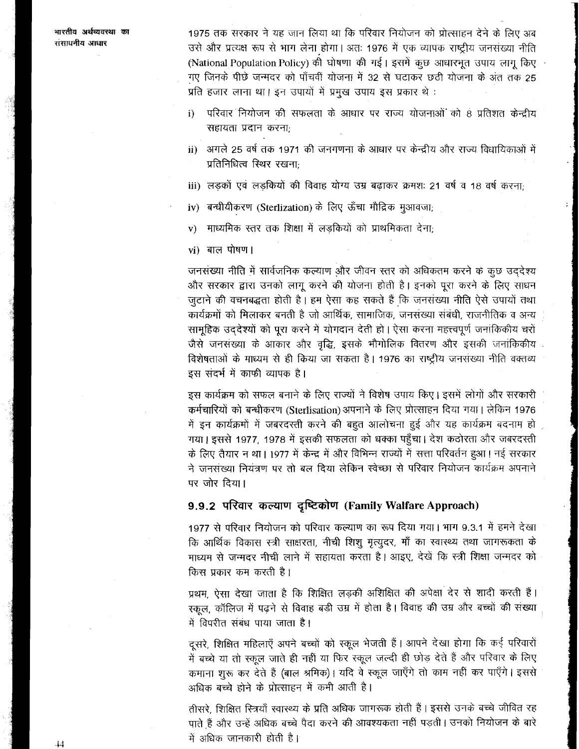1975 तक सरकार ने यह जान लिया था कि परिवार नियोजन को प्रोत्साहन देने के लिए अब उसे और प्रत्यक्ष रूप से भाग लेना होगा। अतः 1976 में एक व्यापक राष्ट्रीय जनसंख्या नीति (National Population Policy) की घोषणा की गई। इसमें कूछ आधारभूत उपाय लागू किए गए जिनके पीछे जन्मदर को पाँचवीं योजना में 32 से घटाकर छठी योजना के अंत तक 25 प्रति हजार लाना था। इन उपायों में प्रमुख उपाय इस प्रकार थे :

- परिवार नियोजन की सफलता के आधार पर राज्य योजनाओं को 8 प्रतिशत केन्द्रीय  $\mathbf{i}$ सहायता प्रदान करना;
- ii) अगले 25 वर्ष तक 1971 की जनगणना के आधार पर केन्द्रीय और राज्य विधायिकाओं में प्रतिनिधित्व स्थिर रखनाः
- iii) लड़कों एवं लड़कियों की विवाह योग्य उम्र बढ़ाकर क्रमशः 21 वर्ष व 18 वर्ष करना;
- iv) बन्धीयीकरण (Sterlization) के लिए ऊँचा मौद्रिक मुआवजा;
- माध्यमिक स्तर तक शिक्षा में लड़कियों को प्राथमिकता देना;  $V)$
- vi) बाल पोषण।

जनसंख्या नीति में सार्वजनिक कल्याण और जीवन स्तर को अधिकतम करने के कूछ उददेश्य और सरकार द्वांरा उनको लागू करने की योजना होती है। इनको पूरा करने के लिए साधन जुटाने की वचनबद्धता होती है। हम ऐसा कह सकते हैं कि जनसंख्या नीति ऐसे उपायों तथा कार्यक्रमों को मिलाकर बनती है जो आर्थिक, सामाजिक, जनसंख्या संबंधी, राजनीतिक व अन्य सामूहिक उद्देश्यों को पूरा करने में योगदान देती हो। ऐसा करना महत्त्वपूर्ण जनांकिकीय चरों जैसे जनसंख्या के आकार और वृद्धि, इसके भौगोलिक वितरण और इसकी जनांकिकीय विशेषताओं के माध्यम से ही किया जा सकता है। 1976 का राष्ट्रीय जनसंख्या नीति वक्तव्य इस संदर्भ में काफी व्यापक है।

इस कार्यक्रम को सफल बनाने के लिए राज्यों ने विशेष उपाय किए। इसमें लोगों और सरकारी कर्मचारियों को बन्धीकरण (Sterlisation) अपनाने के लिए प्रोत्साहन दिया गया। लेकिन 1976 में इन कार्यक्रमों में जबरदरती करने की बहुत आलोचना हुई और यह कार्यक्रम बदनाम हो गया। इससे 1977, 1978 में इसकी सफलता को धक्का पहुँचा। देश कठोरता और जबरदस्ती के लिए तैयार न था। 1977 में केन्द्र में और विभिन्न राज्यों में सत्ता परिवर्तन हुआ। नई सरकार ने जनसंख्या नियंत्रण पर तो बल दिया लेकिन स्वेच्छा से परिवार नियोजन कार्यक्रम अपनाने पर जोर दिया।

# 9.9.2 परिवार कल्याण दृष्टिकोण (Family Walfare Approach)

1977 से परिवार नियोजन को परिवार कल्याण का रूप दिया गया। भाग 9.3.1 में हमने देखा कि आर्थिक विकास स्त्री साक्षरता, नीची शिशु मृत्युदर, माँ का स्वास्थ्य तथा जागरूकता के माध्यम से जन्मदर नीची लाने में सहायता करता है। आइए, देखें कि स्त्री शिक्षा जन्मदर को किस प्रकार कम करती है।

प्रथम, ऐसा देखा जाता है कि शिक्षित लड़की अशिक्षित की अपेक्षा देर से शादी करती हैं। स्कूल, कॉलिज में पढ़ने से विवाह बड़ी उम्र में होता है। विवाह की उम्र और बच्चों की संख्या में विपरीत संबंध पाया जाता है।

दूसरे, शिक्षित महिलाएँ अपने बच्चों को स्कूल भेजती हैं। आपने देखा होगा कि कई परिवारों में बच्चे या तो स्कूल जाते ही नहीं या फिर स्कूल जल्दी ही छोड़ देते हैं और परिवार के लिए कमाना शुरू कर देते हैं (बाल श्रमिक)। यदि वे स्कूल जाएँगे तो काम नहीं कर पाएँगे। इससे अधिक बच्चे होने के प्रोत्साहन में कमी आती है।

तीसरे. शिक्षित स्त्रियाँ स्वास्थ्य के प्रति अधिक जागरूक होती हैं। इससे उनके बच्चे जीवित रह पाते हैं और उन्हें अधिक बच्चे पैदा करने की आवश्यकता नहीं पड़ती। उनको नियोजन के बारे में अधिक जानकारी होती है।

 $\overline{44}$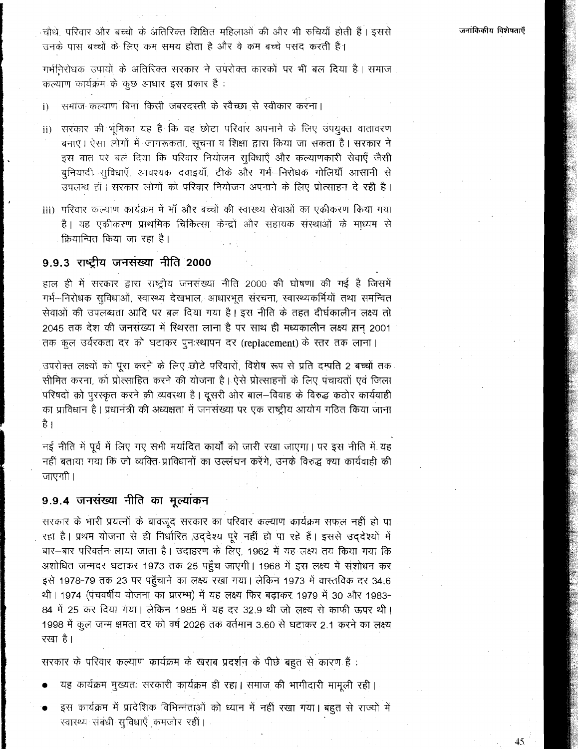45

चोथे, परिवार और बच्चों के अंतिरिक्त शिक्षित महिलाओं की और भी रुचियाँ होती हैं। इससे उनके पास बच्चों के लिए कम समय होता है और वे कम बच्चे पसंद करती हैं।

गर्भनिरोधक उपायों के अतिरिक्त सरकार ने उपरोक्त कारकों पर भी बल दिया है। समाज कल्याण कार्यक्रम के कुछ आधार इस प्रकार हैं:

समाज कल्याण बिना किसी जबरदस्ती के स्वैच्छा से स्वीकार करना।  $\mathbf{i}$ 

- सरकार की भूमिका यह है कि वह छोटा परिवार अपनाने के लिए उपयुक्त वातावरण  $\mathbf{ii}$ बनाएं। ऐसा लोगों में जागरूकता, सूचना व शिक्षा द्वारा किया जा सकता है। सरकार ने इस बात पर बल दिया कि परिवार नियोजन सुविधाएँ और कल्याणकारी सेवाएँ जैसी बुनियादी सुविधाएँ, आवश्यक दवाइय़ाँ, टीके और गर्भ—निरोधक गोलियाँ आसानी से उपलब्ध हो। सरकार लोगों को परिवार नियोजन अपनाने के लिए प्रोत्साहन दे रही है।
- iii) परिवार कल्याण कार्यक्रम में माँ और बच्चों की स्वारथ्य सेवाओं का एकीकरण किया गया है। यह एकीकरण प्राथमिक चिकित्सा केन्द्रों और सहायक संस्थाओं के माध्यम से क्रियान्वित किया जा रहा है।

# 9.9.3 राष्ट्रीय जनसंख्या नीति 2000

हाल ही में सरकार द्वारा राष्ट्रीय जनसंख्या नीति 2000 की घोषणा की गई है जिसमें गर्भ--निरोधक सुविधाओं, स्वास्थ्य देखभाल, आधारभूत संरचना, स्वास्थ्यकर्मियों तथा समन्वित सेवाओं की उपलब्धता आदि पर बल दिया गया है। इस नीति के तहत दीर्घकालीन लक्ष्य तो 2045 तक देश की जनसंख्या में रिथरता लाना है पर साथ ही मध्यकालीन लक्ष्य सन 2001 तक कूल उर्वरकता दर को घटाकर पुनःस्थापन दर (replacement) के स्तर तक लाना।

उपरोक्त लक्ष्यों को पूरा करने के लिए छोटे परिवारों, विशेष रूप से प्रति दम्पति 2 बच्चों तक सीमित करना, को प्रोत्साहित करने की योजना है। ऐसे प्रोत्साहनों के लिए पंचायतों एवं जिला परिषदों को पुरस्कृत करने की व्यवस्था है। दूसरी ओर बाल-विवाह के विरुद्ध कठोर कार्यवाही का प्राविधान है। प्रधानत्री की अध्यक्षता में जनसंख्या पर एक राष्ट्रीय आयोग गठित किया जाना ੜੇ।

नई नीति में पूर्व में लिए गए सभी मर्यादित कार्यों को जारी रखा जाएगा। पर इस नीति में यह नहीं बताया गया कि जो व्यक्ति प्राविधानों का उल्लंघन करेंगे. उनके विरुद्ध क्या कार्यवाही की जाएगी।

## 9.9.4 जनसंख्या नीति का मूल्यांकन

सरकार के भारी प्रयत्नों के बावजूद सरकार का परिवार कल्याण कार्यक्रम सफल नहीं हो पा रहा है। प्रथम योजना से ही निर्धारित उद्देश्य पूरे नहीं हो पा रहे हैं। इससे उद्देश्यों में बार-बार परिवर्तन लाया जाता है। उदाहरण के लिए, 1962 में यह लक्ष्य तय किया गया कि अशोधित जन्मदर घटाकर 1973 तक 25 पहुँच जाएगी। 1968 में इस लक्ष्य में संशोधन कर इसे 1978-79 तक 23 पर पहुँचाने का लक्ष्य रखा गया। लेकिन 1973 में वास्तविक दर 34.6 थी। 1974 (पंचवर्षीय योजना का प्रारम्भ) में यह लक्ष्य फिर बढ़ाकर 1979 में 30 और 1983-84 में 25 कर दिया गया। लेकिन 1985 में यह दर 32.9 थी जो लक्ष्य से काफी ऊपर थी। 1998 में कुल जन्म क्षमता दर को वर्ष 2026 तक वर्तमान 3.60 से घटाकर 2.1 करने का लक्ष्य रखा है।

सरकार के परिवार कल्याण कार्यक्रम के खराब प्रदर्शन के पीछे बहुत से कारण हैं :

- यह कार्यक्रम मुख्यतः सरकारी कार्यक्रम ही रहा। समाज की भागीदारी मामूली रही।
- इस कार्यक्रम में प्रादेशिक विभिन्नताओं को ध्यान में नहीं रखा गया। बहुत से राज्यों में रवारथ्य संबंधी सुविधाएँ कमजोर रही।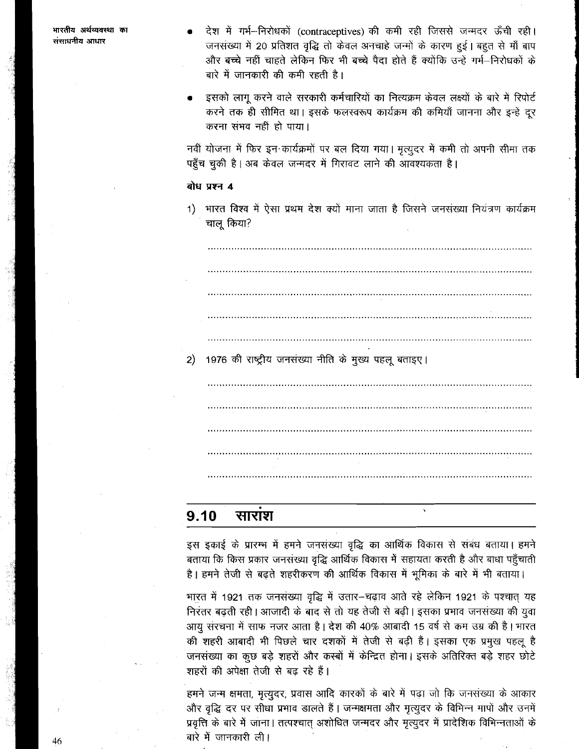- देश में गर्भ--निरोधकों (contraceptives) की कमी रही जिससे जन्मदर ऊँची रही। जनसंख्या में 20 प्रतिशत वृद्धि तो केवल अनचाहे जन्मों के कारण हुई। बहुत से माँ बाप और बच्चे नहीं चाहते लेकिन फिर भी बच्चे पैदा होते हैं क्योंकि उन्हें गर्भ–निरोधकों के बारे में जानकारी की कमी रहती है।
- इसको लागू करने वाले सरकारी कर्मचारियों का नित्यक्रम केवल लक्ष्यों के बारे में रिपोर्ट करने तक ही सीमित था। इसके फलस्वरूप कार्यक्रम की कमियाँ जानना और इन्हें दूर करना संभव नहीं हो पाया।

नवीं योजना में फिर इन कार्यक्रमों पर बल दिया गया। मृत्युदर में कमी तो अपनी सीमा तक पहुँच चुकी है। अब केवल जन्मदर में गिरावट लाने की आवश्यकता है।

#### बोध प्रश्न 4

1) भारत विश्व में ऐसा प्रथम देश क्यों माना जाता है जिसने जनसंख्या नियंत्रण कार्यक्रम चालू किया?

1976 की राष्ट्रीय जनसंख्या नीति के मुख्य पहलू बताइए।  $2)$ 

#### 9.10 साराश

इस इकाई के प्रारम्भ में हमने जनसंख्या वृद्धि का आर्थिक विकास से संबंध बताया। हमने बताया कि किस प्रकार जनसंख्या वृद्धि आर्थिक विकास में सहायता करती है और बाधा पहुँचाती है। हमने तेजी से बढ़ते शहरीकरण की आर्थिक विकास में भूमिका के बारे में भी बताया।

भारत में 1921 तक जनसंख्या वृद्धि में उतार-चढ़ाव आते रहे लेकिन 1921 के पश्चात् यह निरंतर बढ़ती रही। आजादी के बाद से तो यह तेजी से बढ़ी। इसका प्रभाव जनसंख्या की युवा आयू संरचना में साफ नजर आता है। देश की 40% आबादी 15 वर्ष से कम उम्र की है। भारत की शहरी आबादी भी पिछले चार दशकों में तेजी से बढ़ी हैं। इसका एक प्रमुख पहलू है जनसंख्या का कुछ बड़े शहरों और कस्बों में केन्द्रित होना। इसके अतिरिक्त बड़े शहर छोटे शहरों की अपेक्षा तेजी से बढ़ रहे हैं।

हमने जन्म क्षमता, मृत्युदर, प्रवास आदि कारकों के बारे में पढ़ा जो कि जनसंख्या के आकार और वृद्धि दर पर सीधा प्रभाव डालते हैं। जन्मक्षमता और मृत्युदर के विभिन्न मापों और उनमें प्रवृत्ति के बारे में जाना। तत्पश्चात् अशोधित जन्मदर और मृत्युदर में प्रादेशिक विभिन्नताओं के बारे में जानकारी ली।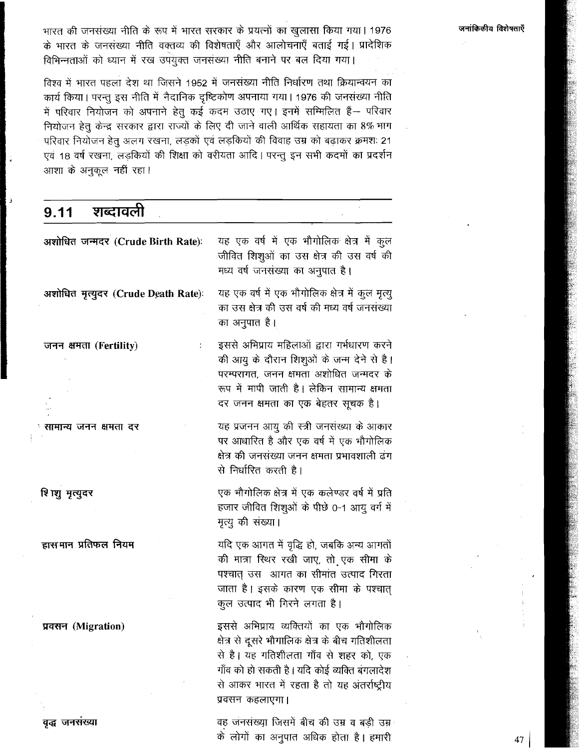भारत की जनसंख्या नीति के रूप में भारत सरकार के प्रयत्नों का खुलासा किया गया। 1976 के भारत के जनसंख्या नीति वक्तव्य की विशेषताएँ और आलोचनाएँ बताई गई। प्रादेशिक विभिन्नताओं को ध्यान में रख उपयुक्त जनसंख्या नीति बनाने पर बल दिया गया।

विश्व में भारत पहला देश था जिसने 1952 में जनसंख्या नीति निर्धारण तथा क्रियान्वयन का कार्य किया। परन्तु इस नीति में नैदानिक दृष्टिकोण अपनाया गया। 1976 की जनसंख्या नीति में परिवार नियोजन को अपनाने हेतु कई कदम उठाए गए। इनमें सम्मिलित हैं— परिवार नियोजन हेतु केन्द्र सरकार द्वारा राज्यों के लिए दी जाने वाली आर्थिक सहायता का 8% भाग परिवार नियोजन हेतु अलग रखना, लड़कों एवं लड़कियों की विवाह उम्र को बढ़ाकर क्रमशः 21 एवं 18 वर्ष रखना, लड़कियों की शिक्षा को वरीयता आदि। परन्तु इन सभी कदमों का प्रदर्शन आशा के अनुकूल नहीं रहा।

शब्दावली  $9.11$ अशोधित जन्मदर (Crude Birth Rate): यह एक वर्ष में एक भौगोलिक क्षेत्र में कुल जीवित शिशुओं का उस क्षेत्र की उस वर्ष की मध्य वर्ष जनसंख्या का अनुपात है। यह एक वर्ष में एक भौगोलिक क्षेत्र में कूल मृत्यू अशोधित मृत्युदर (Crude Death Rate): का उस क्षेत्र की उस वर्ष की मध्य वर्ष जनसंख्या का अनुपात है। इससे अभिप्राय महिलाओं द्वारा गर्भधारण करने जनन क्षमता (Fertility) की आयु के दौरान शिशुओं के जन्म देने से है। परम्परागत, जनन क्षमता अशोधित जन्मदर के रूप में मापी जाती है। लेकिन सामान्य क्षमता दर जनन क्षमता का एक बेहतर सूचक है। यह प्रजनन आयु की स्त्री जनसंख्या के आकार सामान्य जनन क्षमता दर पर आधारित है और एक वर्ष में एक भौगोलिक क्षेत्र की जनसंख्या जनन क्षमता प्रभावशाली द्वंग से निर्धारित करती है। एक भौगोलिक क्षेत्र में एक कलेण्डर वर्ष में प्रति शि ।शु मृत्युदर हजार जीवित शिशुओं के पीछे 0-1 आयू वर्ग में मृत्यु की संख्या। हासमान प्रतिफल नियम यदि एक आगत में वृद्धि हो, जबकि अन्य आगतों की मात्रा रिथर रखी जाए, तो एक सीमा के पश्चात उस आगत का सीमांत उत्पाद गिरता जाता है। इसके कारण एक सीमा के पश्चात् कूल उत्पाद भी गिरने लगता है। इससे अभिप्राय व्यक्तियों का एक भौगोलिक प्रवसन (Migration) क्षेत्र से दूसरे भौगालिक क्षेत्र के बीच गतिशीलता से है। यह गतिशीलता गाँव से शहर को, एक गाँव को हो सकती है। यदि कोई व्यक्ति बगलादेश से आकर भारत में रहता है तो यह अंतर्राष्ट्रीय प्रवसन कहलाएगा।

> वह जनसंख्या जिसमें बीच की उम्र व बड़ी उम्र के लोगों का अनुपात अधिक होता है। हमारी

वृद्ध जनसंख्या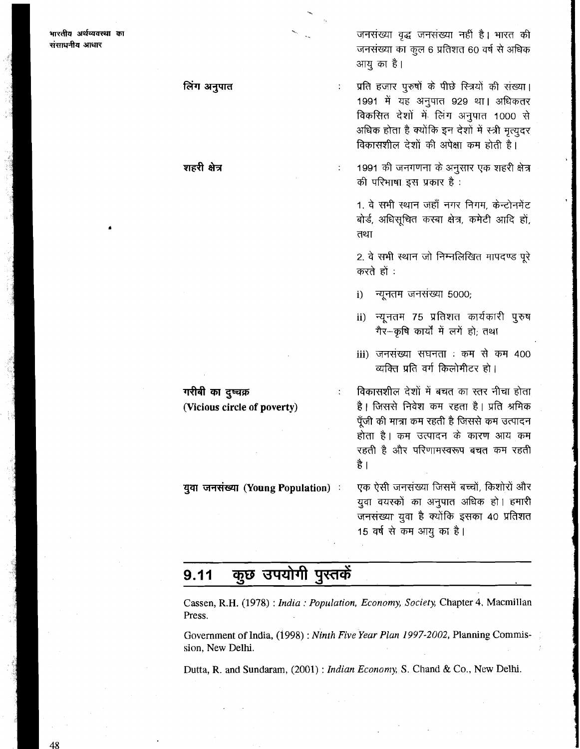लिंग अनुपात

शहरी क्षेत्र

जनसंख्या वृद्ध जनसंख्या नहीं है। भारत की जनसंख्या का कूल 6 प्रतिशत 60 वर्ष से अधिक आयु का है।

प्रति हजार पुरुषों के पीछे स्त्रियों की संख्या। 1991 में यह अनुपात 929 था। अधिकतर विकसित देशों में लिंग अनुपात 1000 से अधिक होता है क्योंकि इन देशों में स्त्री मृत्युदर विकासशील देशों की अपेक्षा कम होती है।

 $\ddot{\cdot}$ 

1991 की जनगणना के अनुसार एक शहरी क्षेत्र की परिभाषा इस प्रकार है:

1. वे सभी स्थान जहाँ नगर निगम, केन्टोनमेंट बोर्ड, अधिसूचित कस्बा क्षेत्र, कमेटी आदि हों, तथा

2. वे सभी स्थान जो निम्नलिखित मापदण्ड पूरे करते हों :

 $\mathbf{i}$ न्यूनतम जनसंख्या 5000;

- न्यूनतम 75 प्रतिशत कार्यकारी पुरुष  $\mathbf{ii}$ गैर-कृषि कार्यों में लगें हो; तथा
- iii) जनसंख्या सघनता : कम से कम 400 व्यक्ति प्रति वर्ग किलोमीटर हो।

\*~ir~ : mM4mmm7\*fhT है। जिससे निवेश कम रहता है। प्रति श्रमिक पूँजी की मात्रा कम रहती है जिससे कम उत्पादन होता है। कम उत्पादन के कारण आय कम रहती है और परिणामस्वरूप बचत कम रहती **3** <sup>I</sup> रहती है और परिणामस्वरूप बचत कम रहती<br>है |<br>युवा जनसंख्या (Young Population) : एक ऐसी जनसंख्या जिसमें बच्चों, किशोरों और<br>राता तरास्कों का अनुपान अधिक हो । हमारी

एक ऐसी जनसंख्या जिसमें बच्चों, किशोरों और<br>युवा वयस्कों का अनुपात अधिक हो । हमारी जनसंख्या युवा है क्योंकि इसका 40 प्रतिशत 15 वर्ष से कम आयु का है।

#### कुछ उपयोगी पुस्तकें  $9.11$

Cassen, R.H. **(1978)** : *India* : *Population, Economy, Society,* Chapter *4,* Macmillan Press.

Government of India, **(1998)** : *Ninth Five Year Plan* 1997-2002, Planning Commission, New Delhi.

Dutta, R. and Sundaram, (2001) : *Indian Economy, S.* Chand & Co., New Delhi.